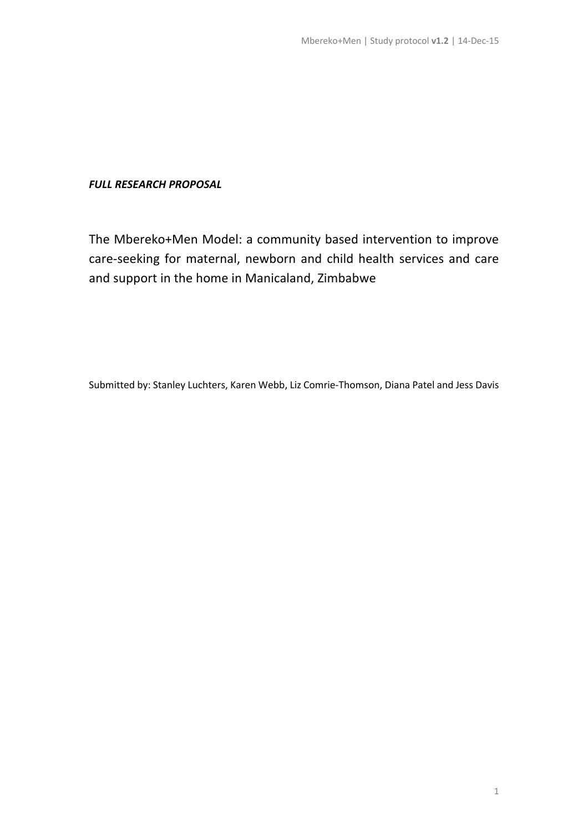# *FULL RESEARCH PROPOSAL*

The Mbereko+Men Model: a community based intervention to improve care-seeking for maternal, newborn and child health services and care and support in the home in Manicaland, Zimbabwe

Submitted by: Stanley Luchters, Karen Webb, Liz Comrie-Thomson, Diana Patel and Jess Davis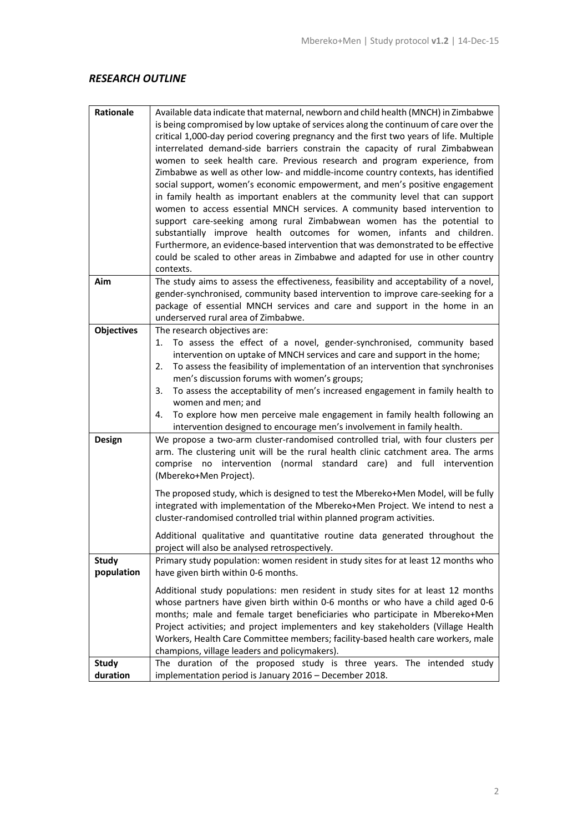# *RESEARCH OUTLINE*

| Rationale                  | Available data indicate that maternal, newborn and child health (MNCH) in Zimbabwe<br>is being compromised by low uptake of services along the continuum of care over the<br>critical 1,000-day period covering pregnancy and the first two years of life. Multiple<br>interrelated demand-side barriers constrain the capacity of rural Zimbabwean<br>women to seek health care. Previous research and program experience, from<br>Zimbabwe as well as other low- and middle-income country contexts, has identified<br>social support, women's economic empowerment, and men's positive engagement |
|----------------------------|------------------------------------------------------------------------------------------------------------------------------------------------------------------------------------------------------------------------------------------------------------------------------------------------------------------------------------------------------------------------------------------------------------------------------------------------------------------------------------------------------------------------------------------------------------------------------------------------------|
|                            | in family health as important enablers at the community level that can support                                                                                                                                                                                                                                                                                                                                                                                                                                                                                                                       |
|                            | women to access essential MNCH services. A community based intervention to<br>support care-seeking among rural Zimbabwean women has the potential to                                                                                                                                                                                                                                                                                                                                                                                                                                                 |
|                            | substantially improve health outcomes for women, infants and children.<br>Furthermore, an evidence-based intervention that was demonstrated to be effective                                                                                                                                                                                                                                                                                                                                                                                                                                          |
|                            | could be scaled to other areas in Zimbabwe and adapted for use in other country                                                                                                                                                                                                                                                                                                                                                                                                                                                                                                                      |
| Aim                        | contexts.<br>The study aims to assess the effectiveness, feasibility and acceptability of a novel,                                                                                                                                                                                                                                                                                                                                                                                                                                                                                                   |
|                            | gender-synchronised, community based intervention to improve care-seeking for a                                                                                                                                                                                                                                                                                                                                                                                                                                                                                                                      |
|                            | package of essential MNCH services and care and support in the home in an                                                                                                                                                                                                                                                                                                                                                                                                                                                                                                                            |
| <b>Objectives</b>          | underserved rural area of Zimbabwe.<br>The research objectives are:                                                                                                                                                                                                                                                                                                                                                                                                                                                                                                                                  |
|                            | To assess the effect of a novel, gender-synchronised, community based<br>1.                                                                                                                                                                                                                                                                                                                                                                                                                                                                                                                          |
|                            | intervention on uptake of MNCH services and care and support in the home;                                                                                                                                                                                                                                                                                                                                                                                                                                                                                                                            |
|                            | To assess the feasibility of implementation of an intervention that synchronises<br>2.<br>men's discussion forums with women's groups;                                                                                                                                                                                                                                                                                                                                                                                                                                                               |
|                            | To assess the acceptability of men's increased engagement in family health to<br>3.                                                                                                                                                                                                                                                                                                                                                                                                                                                                                                                  |
|                            | women and men; and                                                                                                                                                                                                                                                                                                                                                                                                                                                                                                                                                                                   |
|                            | To explore how men perceive male engagement in family health following an<br>4.<br>intervention designed to encourage men's involvement in family health.                                                                                                                                                                                                                                                                                                                                                                                                                                            |
| Design                     | We propose a two-arm cluster-randomised controlled trial, with four clusters per                                                                                                                                                                                                                                                                                                                                                                                                                                                                                                                     |
|                            | arm. The clustering unit will be the rural health clinic catchment area. The arms<br>comprise no intervention (normal standard care)<br>and full intervention<br>(Mbereko+Men Project).                                                                                                                                                                                                                                                                                                                                                                                                              |
|                            | The proposed study, which is designed to test the Mbereko+Men Model, will be fully                                                                                                                                                                                                                                                                                                                                                                                                                                                                                                                   |
|                            | integrated with implementation of the Mbereko+Men Project. We intend to nest a<br>cluster-randomised controlled trial within planned program activities.                                                                                                                                                                                                                                                                                                                                                                                                                                             |
|                            | Additional qualitative and quantitative routine data generated throughout the<br>project will also be analysed retrospectively.                                                                                                                                                                                                                                                                                                                                                                                                                                                                      |
| <b>Study</b><br>population | Primary study population: women resident in study sites for at least 12 months who<br>have given birth within 0-6 months.                                                                                                                                                                                                                                                                                                                                                                                                                                                                            |
|                            | Additional study populations: men resident in study sites for at least 12 months                                                                                                                                                                                                                                                                                                                                                                                                                                                                                                                     |
|                            | whose partners have given birth within 0-6 months or who have a child aged 0-6<br>months; male and female target beneficiaries who participate in Mbereko+Men                                                                                                                                                                                                                                                                                                                                                                                                                                        |
|                            | Project activities; and project implementers and key stakeholders (Village Health                                                                                                                                                                                                                                                                                                                                                                                                                                                                                                                    |
|                            | Workers, Health Care Committee members; facility-based health care workers, male                                                                                                                                                                                                                                                                                                                                                                                                                                                                                                                     |
| <b>Study</b>               | champions, village leaders and policymakers).<br>The duration of the proposed study is three years. The intended study                                                                                                                                                                                                                                                                                                                                                                                                                                                                               |
| duration                   | implementation period is January 2016 - December 2018.                                                                                                                                                                                                                                                                                                                                                                                                                                                                                                                                               |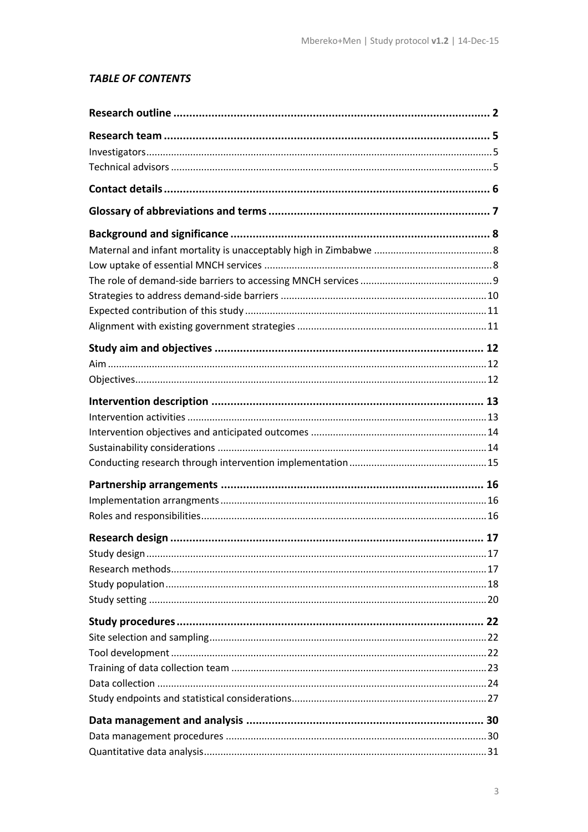# **TABLE OF CONTENTS**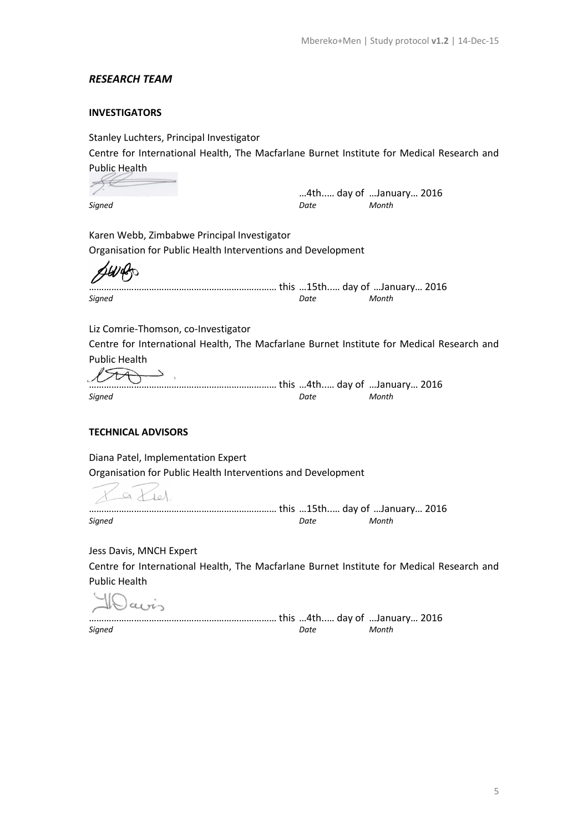### *RESEARCH TEAM*

### **INVESTIGATORS**

Stanley Luchters, Principal Investigator

Centre for International Health, The Macfarlane Burnet Institute for Medical Research and Public Health

………… … this …4th..… day of …January… 2016 *Signed Date Month*

Karen Webb, Zimbabwe Principal Investigator Organisation for Public Health Interventions and Development

………………………………………………………………… this …15th..… day of …January… 2016 *Signed Date Month*

Liz Comrie-Thomson, co-Investigator

Centre for International Health, The Macfarlane Burnet Institute for Medical Research and Public Health

 $\mathscr{L} \longrightarrow$  . The summan manufacture of this …4th..... day of …January… 2016

*Signed Date Month*

#### **TECHNICAL ADVISORS**

Diana Patel, Implementation Expert Organisation for Public Health Interventions and Development

 $10<sub>1</sub>$ 

………………………………………………………………… this …15th..… day of …January… 2016 *Signed Date Month*

Jess Davis, MNCH Expert Centre for International Health, The Macfarlane Burnet Institute for Medical Research and Public Health

avis

………………………………………………………………… this …4th..… day of …January… 2016 *Signed Date Month*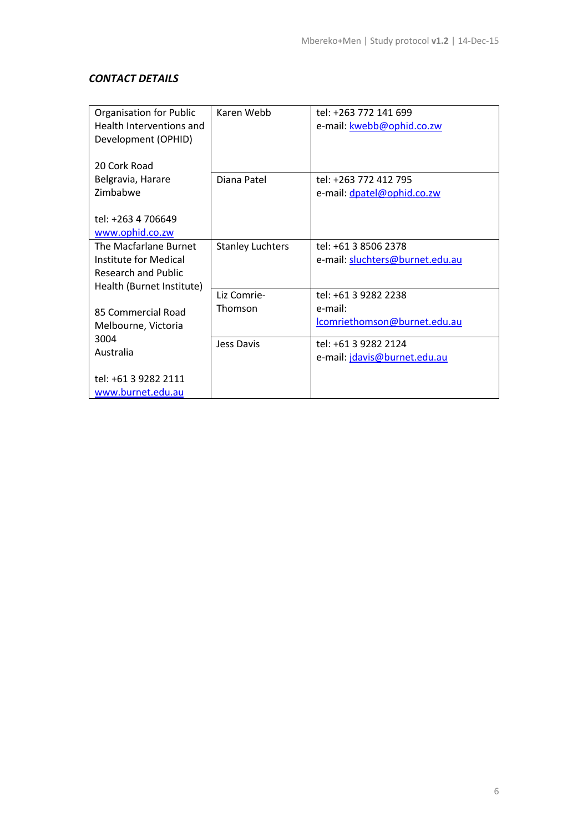# *CONTACT DETAILS*

| <b>Organisation for Public</b> | Karen Webb              | tel: +263 772 141 699           |  |
|--------------------------------|-------------------------|---------------------------------|--|
| Health Interventions and       |                         | e-mail: kwebb@ophid.co.zw       |  |
| Development (OPHID)            |                         |                                 |  |
|                                |                         |                                 |  |
| 20 Cork Road                   |                         |                                 |  |
| Belgravia, Harare              | Diana Patel             | tel: +263 772 412 795           |  |
| Zimbabwe                       |                         | e-mail: dpatel@ophid.co.zw      |  |
|                                |                         |                                 |  |
| tel: +263 4 706649             |                         |                                 |  |
| www.ophid.co.zw                |                         |                                 |  |
| The Macfarlane Burnet          | <b>Stanley Luchters</b> | tel: +61 3 8506 2378            |  |
| Institute for Medical          |                         | e-mail: sluchters@burnet.edu.au |  |
| <b>Research and Public</b>     |                         |                                 |  |
| Health (Burnet Institute)      |                         |                                 |  |
|                                | Liz Comrie-             | tel: +61 3 9282 2238            |  |
| 85 Commercial Road             | Thomson                 | e-mail:                         |  |
| Melbourne, Victoria            |                         | lcomriethomson@burnet.edu.au    |  |
| 3004                           | Jess Davis              | tel: +61 3 9282 2124            |  |
| Australia                      |                         | e-mail: jdavis@burnet.edu.au    |  |
|                                |                         |                                 |  |
| tel: +61 3 9282 2111           |                         |                                 |  |
| www.burnet.edu.au              |                         |                                 |  |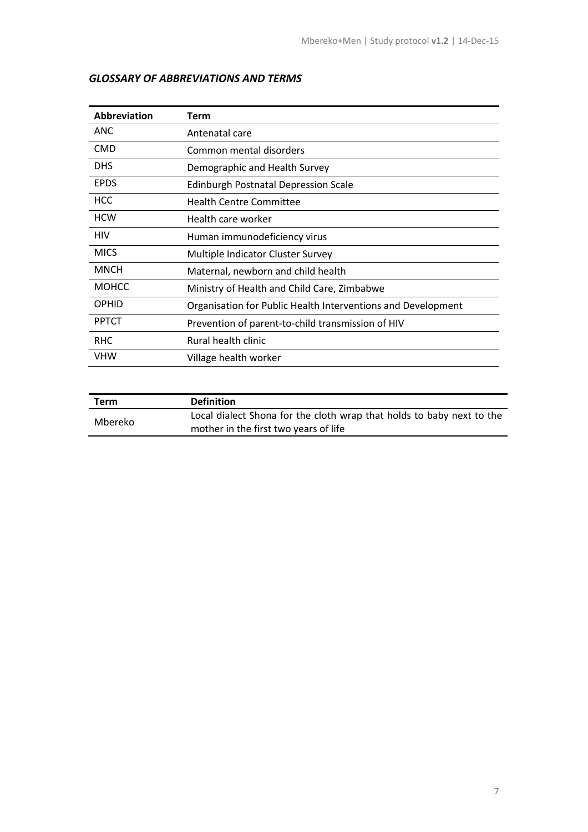| <b>Abbreviation</b> | <b>Term</b>                                                  |
|---------------------|--------------------------------------------------------------|
| <b>ANC</b>          | Antenatal care                                               |
| <b>CMD</b>          | Common mental disorders                                      |
| <b>DHS</b>          | Demographic and Health Survey                                |
| <b>EPDS</b>         | <b>Edinburgh Postnatal Depression Scale</b>                  |
| <b>HCC</b>          | <b>Health Centre Committee</b>                               |
| <b>HCW</b>          | Health care worker                                           |
| HIV                 | Human immunodeficiency virus                                 |
| <b>MICS</b>         | Multiple Indicator Cluster Survey                            |
| <b>MNCH</b>         | Maternal, newborn and child health                           |
| <b>MOHCC</b>        | Ministry of Health and Child Care, Zimbabwe                  |
| <b>OPHID</b>        | Organisation for Public Health Interventions and Development |
| <b>PPTCT</b>        | Prevention of parent-to-child transmission of HIV            |
| <b>RHC</b>          | Rural health clinic                                          |
| <b>VHW</b>          | Village health worker                                        |

# *GLOSSARY OF ABBREVIATIONS AND TERMS*

| Term    | <b>Definition</b>                                                                                              |
|---------|----------------------------------------------------------------------------------------------------------------|
| Mbereko | Local dialect Shona for the cloth wrap that holds to baby next to the<br>mother in the first two years of life |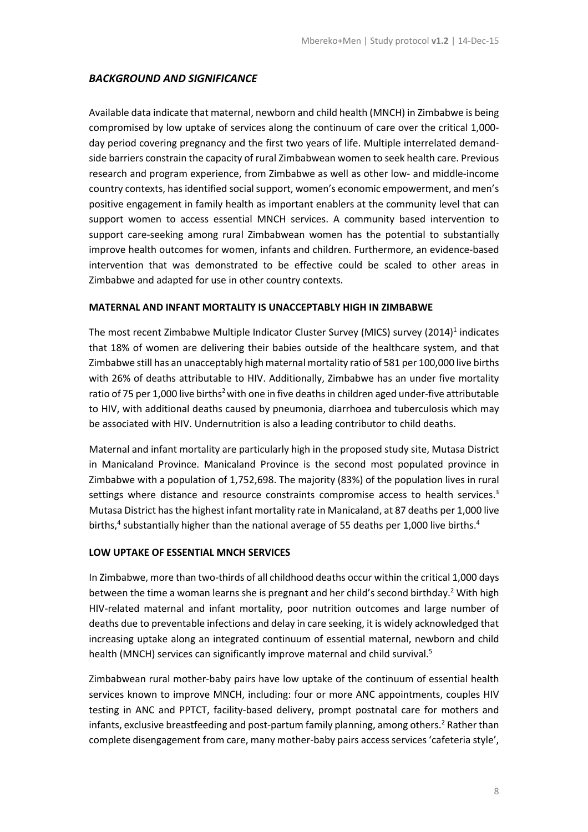## *BACKGROUND AND SIGNIFICANCE*

Available data indicate that maternal, newborn and child health (MNCH) in Zimbabwe is being compromised by low uptake of services along the continuum of care over the critical 1,000 day period covering pregnancy and the first two years of life. Multiple interrelated demandside barriers constrain the capacity of rural Zimbabwean women to seek health care. Previous research and program experience, from Zimbabwe as well as other low- and middle-income country contexts, has identified social support, women's economic empowerment, and men's positive engagement in family health as important enablers at the community level that can support women to access essential MNCH services. A community based intervention to support care-seeking among rural Zimbabwean women has the potential to substantially improve health outcomes for women, infants and children. Furthermore, an evidence-based intervention that was demonstrated to be effective could be scaled to other areas in Zimbabwe and adapted for use in other country contexts.

### **MATERNAL AND INFANT MORTALITY IS UNACCEPTABLY HIGH IN ZIMBABWE**

The most recent Zimbabwe Multiple Indicator Cluster Survey (MICS) survey  $(2014)^1$  indicates that 18% of women are delivering their babies outside of the healthcare system, and that Zimbabwe still has an unacceptably high maternal mortality ratio of 581 per 100,000 live births with 26% of deaths attributable to HIV. Additionally, Zimbabwe has an under five mortality ratio of 75 per 1,000 live births<sup>2</sup> with one in five deaths in children aged under-five attributable to HIV, with additional deaths caused by pneumonia, diarrhoea and tuberculosis which may be associated with HIV. Undernutrition is also a leading contributor to child deaths.

Maternal and infant mortality are particularly high in the proposed study site, Mutasa District in Manicaland Province. Manicaland Province is the second most populated province in Zimbabwe with a population of 1,752,698. The majority (83%) of the population lives in rural settings where distance and resource constraints compromise access to health services. $3$ Mutasa District has the highest infant mortality rate in Manicaland, at 87 deaths per 1,000 live births,<sup>4</sup> substantially higher than the national average of 55 deaths per 1,000 live births.<sup>4</sup>

### **LOW UPTAKE OF ESSENTIAL MNCH SERVICES**

In Zimbabwe, more than two-thirds of all childhood deaths occur within the critical 1,000 days between the time a woman learns she is pregnant and her child's second birthday.<sup>2</sup> With high HIV-related maternal and infant mortality, poor nutrition outcomes and large number of deaths due to preventable infections and delay in care seeking, it is widely acknowledged that increasing uptake along an integrated continuum of essential maternal, newborn and child health (MNCH) services can significantly improve maternal and child survival.<sup>5</sup>

Zimbabwean rural mother-baby pairs have low uptake of the continuum of essential health services known to improve MNCH, including: four or more ANC appointments, couples HIV testing in ANC and PPTCT, facility-based delivery, prompt postnatal care for mothers and infants, exclusive breastfeeding and post-partum family planning, among others.<sup>2</sup> Rather than complete disengagement from care, many mother-baby pairs access services 'cafeteria style',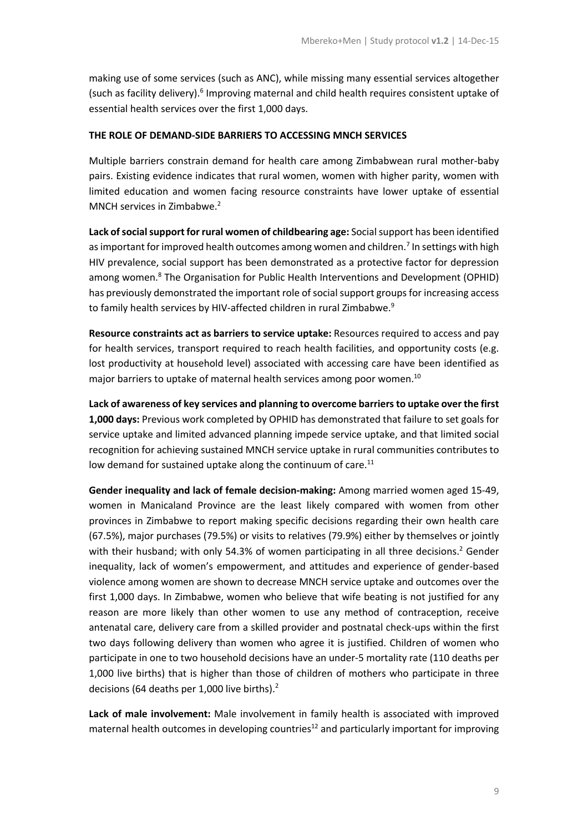making use of some services (such as ANC), while missing many essential services altogether (such as facility delivery).<sup>6</sup> Improving maternal and child health requires consistent uptake of essential health services over the first 1,000 days.

### **THE ROLE OF DEMAND-SIDE BARRIERS TO ACCESSING MNCH SERVICES**

Multiple barriers constrain demand for health care among Zimbabwean rural mother-baby pairs. Existing evidence indicates that rural women, women with higher parity, women with limited education and women facing resource constraints have lower uptake of essential MNCH services in Zimbabwe.<sup>2</sup>

**Lack of social support for rural women of childbearing age:** Social support has been identified as important for improved health outcomes among women and children.<sup>7</sup> In settings with high HIV prevalence, social support has been demonstrated as a protective factor for depression among women.8 The Organisation for Public Health Interventions and Development (OPHID) has previously demonstrated the important role of social support groups for increasing access to family health services by HIV-affected children in rural Zimbabwe.<sup>9</sup>

**Resource constraints act as barriers to service uptake:** Resources required to access and pay for health services, transport required to reach health facilities, and opportunity costs (e.g. lost productivity at household level) associated with accessing care have been identified as major barriers to uptake of maternal health services among poor women.<sup>10</sup>

**Lack of awareness of key services and planning to overcome barriers to uptake over the first 1,000 days:** Previous work completed by OPHID has demonstrated that failure to set goals for service uptake and limited advanced planning impede service uptake, and that limited social recognition for achieving sustained MNCH service uptake in rural communities contributes to low demand for sustained uptake along the continuum of care.<sup>11</sup>

**Gender inequality and lack of female decision-making:** Among married women aged 15-49, women in Manicaland Province are the least likely compared with women from other provinces in Zimbabwe to report making specific decisions regarding their own health care (67.5%), major purchases (79.5%) or visits to relatives (79.9%) either by themselves or jointly with their husband; with only 54.3% of women participating in all three decisions.<sup>2</sup> Gender inequality, lack of women's empowerment, and attitudes and experience of gender-based violence among women are shown to decrease MNCH service uptake and outcomes over the first 1,000 days. In Zimbabwe, women who believe that wife beating is not justified for any reason are more likely than other women to use any method of contraception, receive antenatal care, delivery care from a skilled provider and postnatal check-ups within the first two days following delivery than women who agree it is justified. Children of women who participate in one to two household decisions have an under-5 mortality rate (110 deaths per 1,000 live births) that is higher than those of children of mothers who participate in three decisions (64 deaths per 1,000 live births). $2$ 

**Lack of male involvement:** Male involvement in family health is associated with improved maternal health outcomes in developing countries<sup>12</sup> and particularly important for improving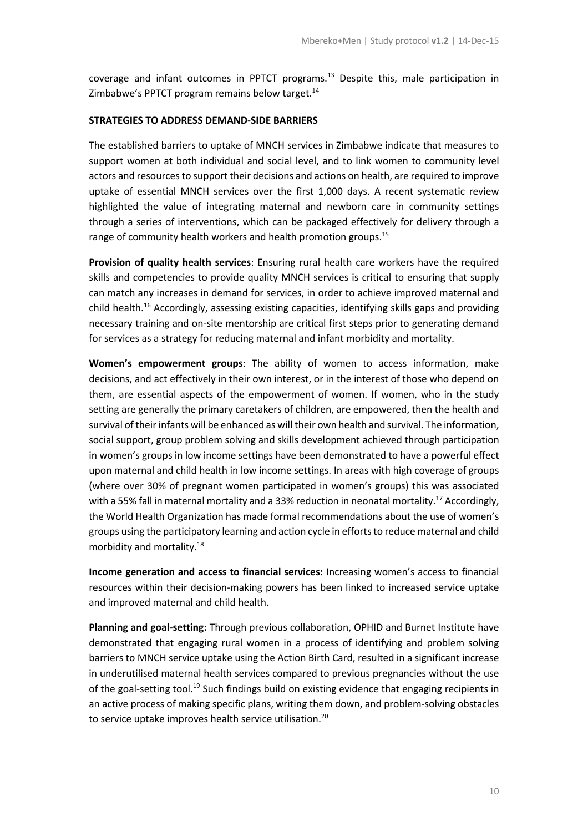coverage and infant outcomes in PPTCT programs.13 Despite this, male participation in Zimbabwe's PPTCT program remains below target.<sup>14</sup>

#### **STRATEGIES TO ADDRESS DEMAND-SIDE BARRIERS**

The established barriers to uptake of MNCH services in Zimbabwe indicate that measures to support women at both individual and social level, and to link women to community level actors and resources to support their decisions and actions on health, are required to improve uptake of essential MNCH services over the first 1,000 days. A recent systematic review highlighted the value of integrating maternal and newborn care in community settings through a series of interventions, which can be packaged effectively for delivery through a range of community health workers and health promotion groups.<sup>15</sup>

**Provision of quality health services**: Ensuring rural health care workers have the required skills and competencies to provide quality MNCH services is critical to ensuring that supply can match any increases in demand for services, in order to achieve improved maternal and child health.<sup>16</sup> Accordingly, assessing existing capacities, identifying skills gaps and providing necessary training and on-site mentorship are critical first steps prior to generating demand for services as a strategy for reducing maternal and infant morbidity and mortality.

**Women's empowerment groups**: The ability of women to access information, make decisions, and act effectively in their own interest, or in the interest of those who depend on them, are essential aspects of the empowerment of women. If women, who in the study setting are generally the primary caretakers of children, are empowered, then the health and survival of their infants will be enhanced as will their own health and survival. The information, social support, group problem solving and skills development achieved through participation in women's groups in low income settings have been demonstrated to have a powerful effect upon maternal and child health in low income settings. In areas with high coverage of groups (where over 30% of pregnant women participated in women's groups) this was associated with a 55% fall in maternal mortality and a 33% reduction in neonatal mortality.<sup>17</sup> Accordingly, the World Health Organization has made formal recommendations about the use of women's groups using the participatory learning and action cycle in efforts to reduce maternal and child morbidity and mortality.18

**Income generation and access to financial services:** Increasing women's access to financial resources within their decision-making powers has been linked to increased service uptake and improved maternal and child health.

**Planning and goal-setting:** Through previous collaboration, OPHID and Burnet Institute have demonstrated that engaging rural women in a process of identifying and problem solving barriers to MNCH service uptake using the Action Birth Card, resulted in a significant increase in underutilised maternal health services compared to previous pregnancies without the use of the goal-setting tool.<sup>19</sup> Such findings build on existing evidence that engaging recipients in an active process of making specific plans, writing them down, and problem-solving obstacles to service uptake improves health service utilisation.<sup>20</sup>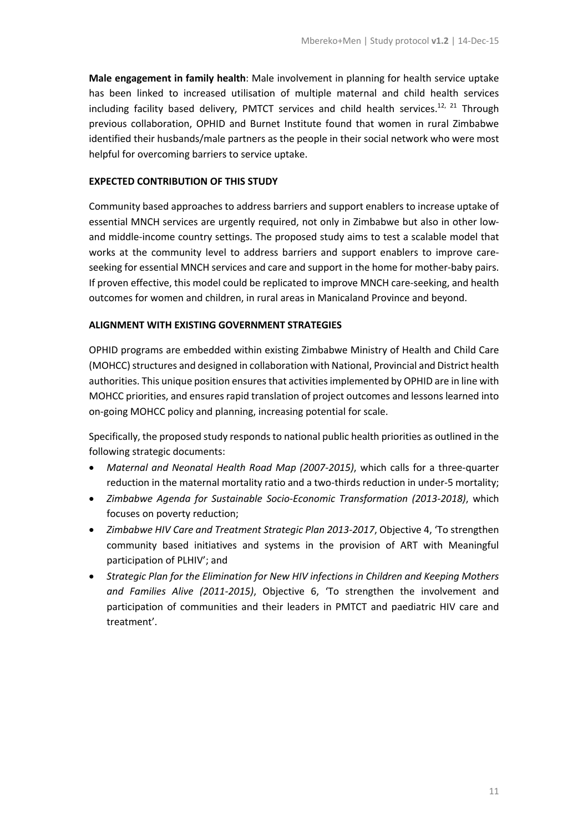**Male engagement in family health**: Male involvement in planning for health service uptake has been linked to increased utilisation of multiple maternal and child health services including facility based delivery, PMTCT services and child health services.<sup>12, 21</sup> Through previous collaboration, OPHID and Burnet Institute found that women in rural Zimbabwe identified their husbands/male partners as the people in their social network who were most helpful for overcoming barriers to service uptake.

### **EXPECTED CONTRIBUTION OF THIS STUDY**

Community based approaches to address barriers and support enablers to increase uptake of essential MNCH services are urgently required, not only in Zimbabwe but also in other lowand middle-income country settings. The proposed study aims to test a scalable model that works at the community level to address barriers and support enablers to improve careseeking for essential MNCH services and care and support in the home for mother-baby pairs. If proven effective, this model could be replicated to improve MNCH care-seeking, and health outcomes for women and children, in rural areas in Manicaland Province and beyond.

### **ALIGNMENT WITH EXISTING GOVERNMENT STRATEGIES**

OPHID programs are embedded within existing Zimbabwe Ministry of Health and Child Care (MOHCC) structures and designed in collaboration with National, Provincial and District health authorities. This unique position ensures that activities implemented by OPHID are in line with MOHCC priorities, and ensures rapid translation of project outcomes and lessons learned into on-going MOHCC policy and planning, increasing potential for scale.

Specifically, the proposed study responds to national public health priorities as outlined in the following strategic documents:

- *Maternal and Neonatal Health Road Map (2007-2015)*, which calls for a three-quarter reduction in the maternal mortality ratio and a two-thirds reduction in under-5 mortality;
- *Zimbabwe Agenda for Sustainable Socio-Economic Transformation (2013-2018)*, which focuses on poverty reduction;
- *Zimbabwe HIV Care and Treatment Strategic Plan 2013-2017*, Objective 4, 'To strengthen community based initiatives and systems in the provision of ART with Meaningful participation of PLHIV'; and
- *Strategic Plan for the Elimination for New HIV infections in Children and Keeping Mothers and Families Alive (2011-2015)*, Objective 6, 'To strengthen the involvement and participation of communities and their leaders in PMTCT and paediatric HIV care and treatment'.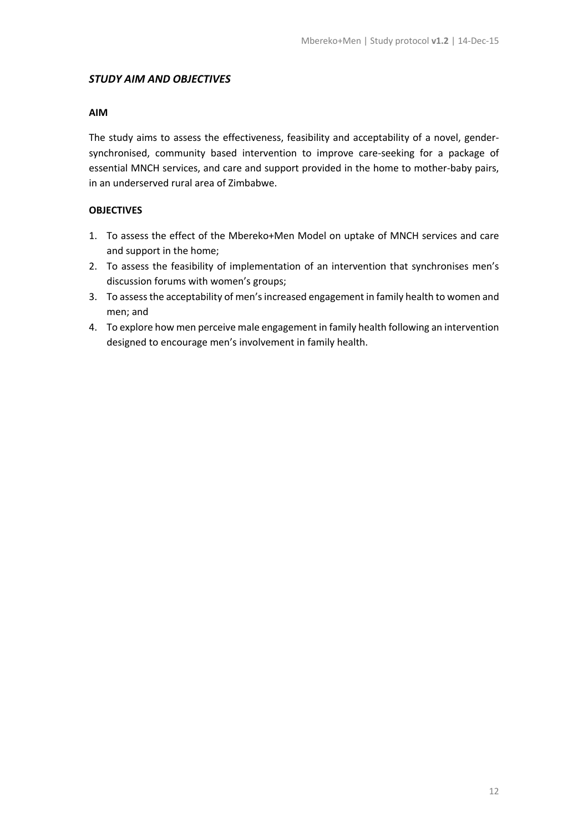# *STUDY AIM AND OBJECTIVES*

## **AIM**

The study aims to assess the effectiveness, feasibility and acceptability of a novel, gendersynchronised, community based intervention to improve care-seeking for a package of essential MNCH services, and care and support provided in the home to mother-baby pairs, in an underserved rural area of Zimbabwe.

# **OBJECTIVES**

- 1. To assess the effect of the Mbereko+Men Model on uptake of MNCH services and care and support in the home;
- 2. To assess the feasibility of implementation of an intervention that synchronises men's discussion forums with women's groups;
- 3. To assess the acceptability of men's increased engagement in family health to women and men; and
- 4. To explore how men perceive male engagement in family health following an intervention designed to encourage men's involvement in family health.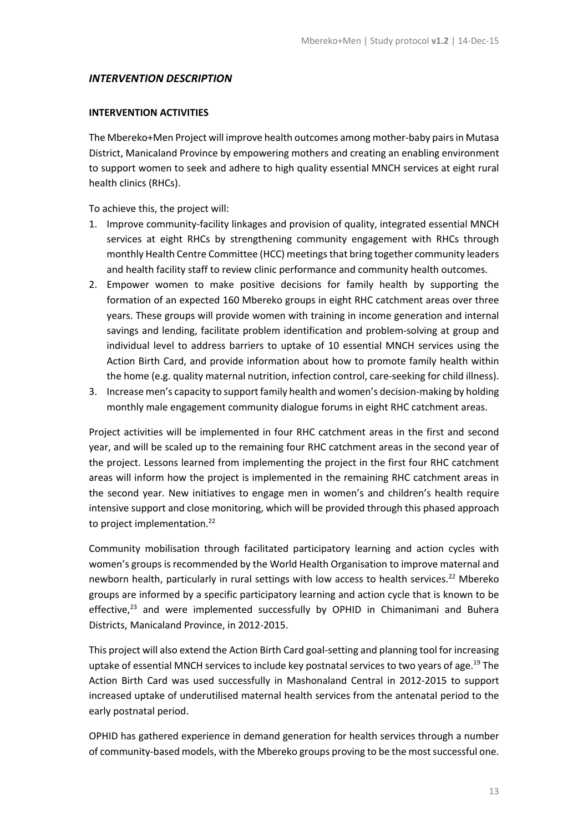### *INTERVENTION DESCRIPTION*

### **INTERVENTION ACTIVITIES**

The Mbereko+Men Project will improve health outcomes among mother-baby pairs in Mutasa District, Manicaland Province by empowering mothers and creating an enabling environment to support women to seek and adhere to high quality essential MNCH services at eight rural health clinics (RHCs).

To achieve this, the project will:

- 1. Improve community-facility linkages and provision of quality, integrated essential MNCH services at eight RHCs by strengthening community engagement with RHCs through monthly Health Centre Committee (HCC) meetings that bring together community leaders and health facility staff to review clinic performance and community health outcomes.
- 2. Empower women to make positive decisions for family health by supporting the formation of an expected 160 Mbereko groups in eight RHC catchment areas over three years. These groups will provide women with training in income generation and internal savings and lending, facilitate problem identification and problem-solving at group and individual level to address barriers to uptake of 10 essential MNCH services using the Action Birth Card, and provide information about how to promote family health within the home (e.g. quality maternal nutrition, infection control, care-seeking for child illness).
- 3. Increase men's capacity to support family health and women's decision-making by holding monthly male engagement community dialogue forums in eight RHC catchment areas.

Project activities will be implemented in four RHC catchment areas in the first and second year, and will be scaled up to the remaining four RHC catchment areas in the second year of the project. Lessons learned from implementing the project in the first four RHC catchment areas will inform how the project is implemented in the remaining RHC catchment areas in the second year. New initiatives to engage men in women's and children's health require intensive support and close monitoring, which will be provided through this phased approach to project implementation.<sup>22</sup>

Community mobilisation through facilitated participatory learning and action cycles with women's groups is recommended by the World Health Organisation to improve maternal and newborn health, particularly in rural settings with low access to health services.<sup>22</sup> Mbereko groups are informed by a specific participatory learning and action cycle that is known to be effective.<sup>23</sup> and were implemented successfully by OPHID in Chimanimani and Buhera Districts, Manicaland Province, in 2012-2015.

This project will also extend the Action Birth Card goal-setting and planning tool for increasing uptake of essential MNCH services to include key postnatal services to two years of age.<sup>19</sup> The Action Birth Card was used successfully in Mashonaland Central in 2012-2015 to support increased uptake of underutilised maternal health services from the antenatal period to the early postnatal period.

OPHID has gathered experience in demand generation for health services through a number of community-based models, with the Mbereko groups proving to be the most successful one.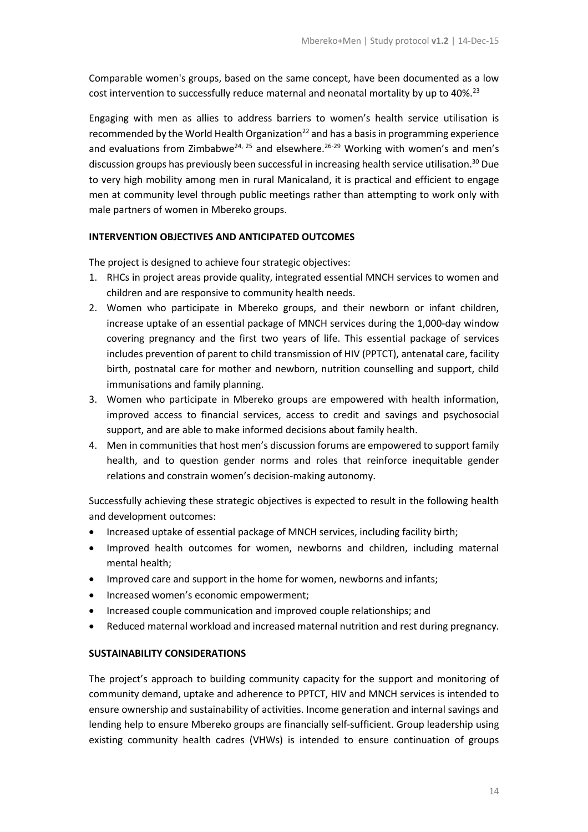Comparable women's groups, based on the same concept, have been documented as a low cost intervention to successfully reduce maternal and neonatal mortality by up to 40%.<sup>23</sup>

Engaging with men as allies to address barriers to women's health service utilisation is recommended by the World Health Organization<sup>22</sup> and has a basis in programming experience and evaluations from Zimbabwe<sup>24, 25</sup> and elsewhere.<sup>26-29</sup> Working with women's and men's discussion groups has previously been successful in increasing health service utilisation.<sup>30</sup> Due to very high mobility among men in rural Manicaland, it is practical and efficient to engage men at community level through public meetings rather than attempting to work only with male partners of women in Mbereko groups.

# **INTERVENTION OBJECTIVES AND ANTICIPATED OUTCOMES**

The project is designed to achieve four strategic objectives:

- 1. RHCs in project areas provide quality, integrated essential MNCH services to women and children and are responsive to community health needs.
- 2. Women who participate in Mbereko groups, and their newborn or infant children, increase uptake of an essential package of MNCH services during the 1,000-day window covering pregnancy and the first two years of life. This essential package of services includes prevention of parent to child transmission of HIV (PPTCT), antenatal care, facility birth, postnatal care for mother and newborn, nutrition counselling and support, child immunisations and family planning.
- 3. Women who participate in Mbereko groups are empowered with health information, improved access to financial services, access to credit and savings and psychosocial support, and are able to make informed decisions about family health.
- 4. Men in communities that host men's discussion forums are empowered to support family health, and to question gender norms and roles that reinforce inequitable gender relations and constrain women's decision-making autonomy.

Successfully achieving these strategic objectives is expected to result in the following health and development outcomes:

- Increased uptake of essential package of MNCH services, including facility birth;
- Improved health outcomes for women, newborns and children, including maternal mental health;
- Improved care and support in the home for women, newborns and infants;
- Increased women's economic empowerment;
- Increased couple communication and improved couple relationships; and
- Reduced maternal workload and increased maternal nutrition and rest during pregnancy.

## **SUSTAINABILITY CONSIDERATIONS**

The project's approach to building community capacity for the support and monitoring of community demand, uptake and adherence to PPTCT, HIV and MNCH services is intended to ensure ownership and sustainability of activities. Income generation and internal savings and lending help to ensure Mbereko groups are financially self-sufficient. Group leadership using existing community health cadres (VHWs) is intended to ensure continuation of groups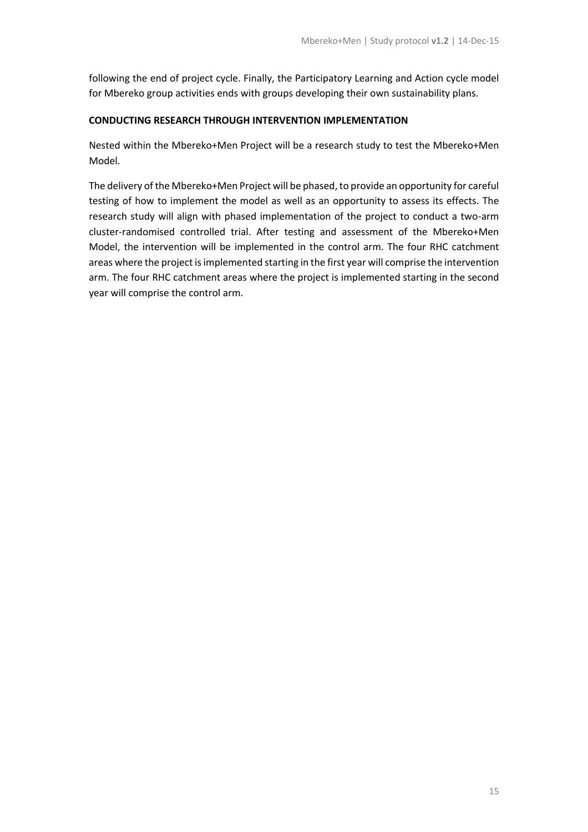following the end of project cycle. Finally, the Participatory Learning and Action cycle model for Mbereko group activities ends with groups developing their own sustainability plans.

# **CONDUCTING RESEARCH THROUGH INTERVENTION IMPLEMENTATION**

Nested within the Mbereko+Men Project will be a research study to test the Mbereko+Men Model.

The delivery of the Mbereko+Men Project will be phased, to provide an opportunity for careful testing of how to implement the model as well as an opportunity to assess its effects. The research study will align with phased implementation of the project to conduct a two-arm cluster-randomised controlled trial. After testing and assessment of the Mbereko+Men Model, the intervention will be implemented in the control arm. The four RHC catchment areas where the project is implemented starting in the first year will comprise the intervention arm. The four RHC catchment areas where the project is implemented starting in the second year will comprise the control arm.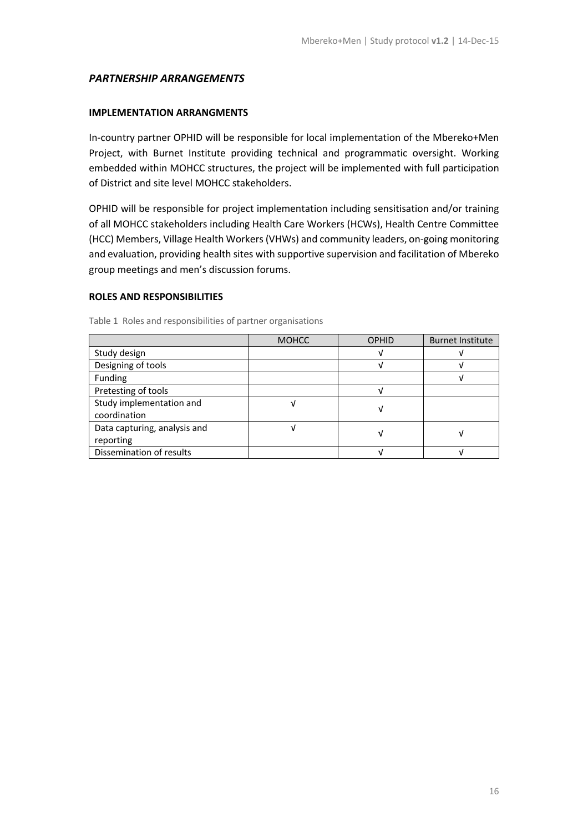## *PARTNERSHIP ARRANGEMENTS*

### **IMPLEMENTATION ARRANGMENTS**

In-country partner OPHID will be responsible for local implementation of the Mbereko+Men Project, with Burnet Institute providing technical and programmatic oversight. Working embedded within MOHCC structures, the project will be implemented with full participation of District and site level MOHCC stakeholders.

OPHID will be responsible for project implementation including sensitisation and/or training of all MOHCC stakeholders including Health Care Workers (HCWs), Health Centre Committee (HCC) Members, Village Health Workers (VHWs) and community leaders, on-going monitoring and evaluation, providing health sites with supportive supervision and facilitation of Mbereko group meetings and men's discussion forums.

### **ROLES AND RESPONSIBILITIES**

|                              | <b>MOHCC</b> | OPHID | <b>Burnet Institute</b> |
|------------------------------|--------------|-------|-------------------------|
| Study design                 |              |       |                         |
| Designing of tools           |              |       |                         |
| Funding                      |              |       |                         |
| Pretesting of tools          |              |       |                         |
| Study implementation and     |              |       |                         |
| coordination                 |              |       |                         |
| Data capturing, analysis and |              |       |                         |
| reporting                    |              |       |                         |
| Dissemination of results     |              |       |                         |

Table 1 Roles and responsibilities of partner organisations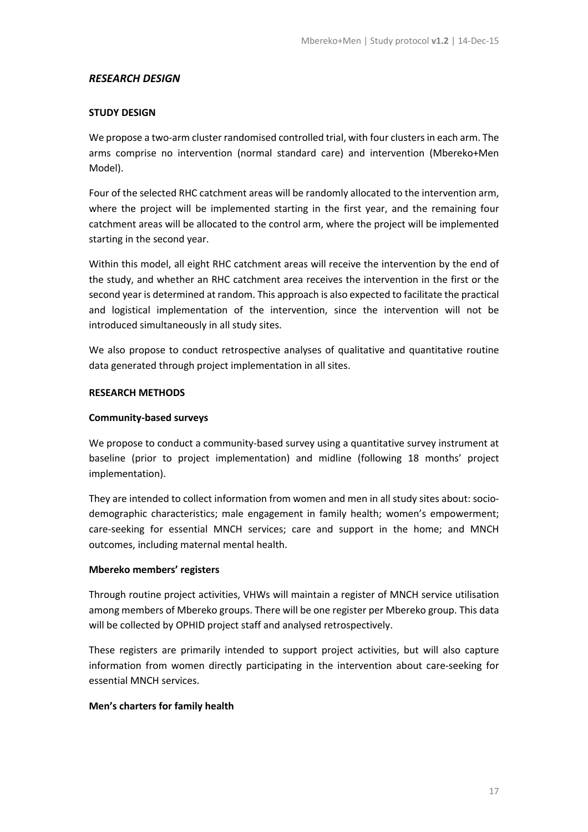# *RESEARCH DESIGN*

## **STUDY DESIGN**

We propose a two-arm cluster randomised controlled trial, with four clusters in each arm. The arms comprise no intervention (normal standard care) and intervention (Mbereko+Men Model).

Four of the selected RHC catchment areas will be randomly allocated to the intervention arm, where the project will be implemented starting in the first year, and the remaining four catchment areas will be allocated to the control arm, where the project will be implemented starting in the second year.

Within this model, all eight RHC catchment areas will receive the intervention by the end of the study, and whether an RHC catchment area receives the intervention in the first or the second year is determined at random. This approach is also expected to facilitate the practical and logistical implementation of the intervention, since the intervention will not be introduced simultaneously in all study sites.

We also propose to conduct retrospective analyses of qualitative and quantitative routine data generated through project implementation in all sites.

## **RESEARCH METHODS**

## **Community-based surveys**

We propose to conduct a community-based survey using a quantitative survey instrument at baseline (prior to project implementation) and midline (following 18 months' project implementation).

They are intended to collect information from women and men in all study sites about: sociodemographic characteristics; male engagement in family health; women's empowerment; care-seeking for essential MNCH services; care and support in the home; and MNCH outcomes, including maternal mental health.

## **Mbereko members' registers**

Through routine project activities, VHWs will maintain a register of MNCH service utilisation among members of Mbereko groups. There will be one register per Mbereko group. This data will be collected by OPHID project staff and analysed retrospectively.

These registers are primarily intended to support project activities, but will also capture information from women directly participating in the intervention about care-seeking for essential MNCH services.

## **Men's charters for family health**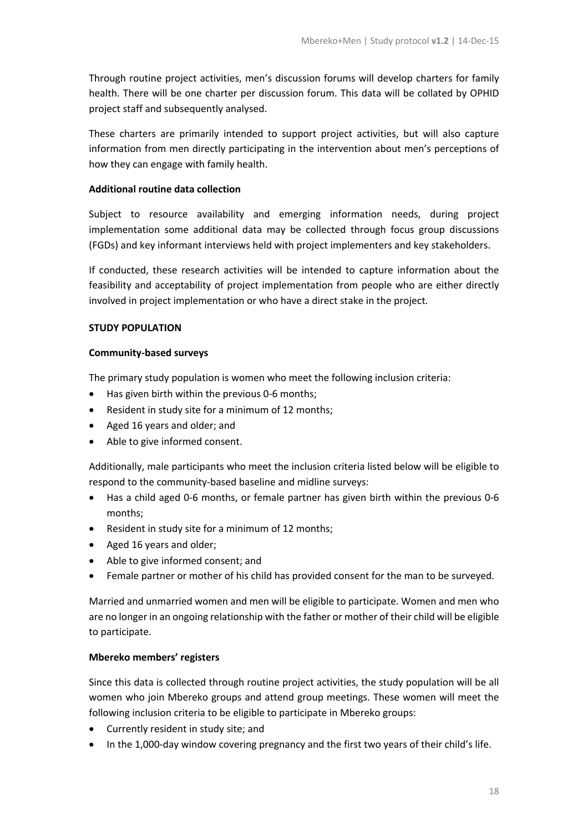Through routine project activities, men's discussion forums will develop charters for family health. There will be one charter per discussion forum. This data will be collated by OPHID project staff and subsequently analysed.

These charters are primarily intended to support project activities, but will also capture information from men directly participating in the intervention about men's perceptions of how they can engage with family health.

## **Additional routine data collection**

Subject to resource availability and emerging information needs, during project implementation some additional data may be collected through focus group discussions (FGDs) and key informant interviews held with project implementers and key stakeholders.

If conducted, these research activities will be intended to capture information about the feasibility and acceptability of project implementation from people who are either directly involved in project implementation or who have a direct stake in the project.

## **STUDY POPULATION**

## **Community-based surveys**

The primary study population is women who meet the following inclusion criteria:

- Has given birth within the previous 0-6 months;
- Resident in study site for a minimum of 12 months;
- Aged 16 years and older; and
- Able to give informed consent.

Additionally, male participants who meet the inclusion criteria listed below will be eligible to respond to the community-based baseline and midline surveys:

- Has a child aged 0-6 months, or female partner has given birth within the previous 0-6 months;
- Resident in study site for a minimum of 12 months;
- Aged 16 years and older;
- Able to give informed consent; and
- Female partner or mother of his child has provided consent for the man to be surveyed.

Married and unmarried women and men will be eligible to participate. Women and men who are no longer in an ongoing relationship with the father or mother of their child will be eligible to participate.

## **Mbereko members' registers**

Since this data is collected through routine project activities, the study population will be all women who join Mbereko groups and attend group meetings. These women will meet the following inclusion criteria to be eligible to participate in Mbereko groups:

- Currently resident in study site; and
- In the 1,000-day window covering pregnancy and the first two years of their child's life.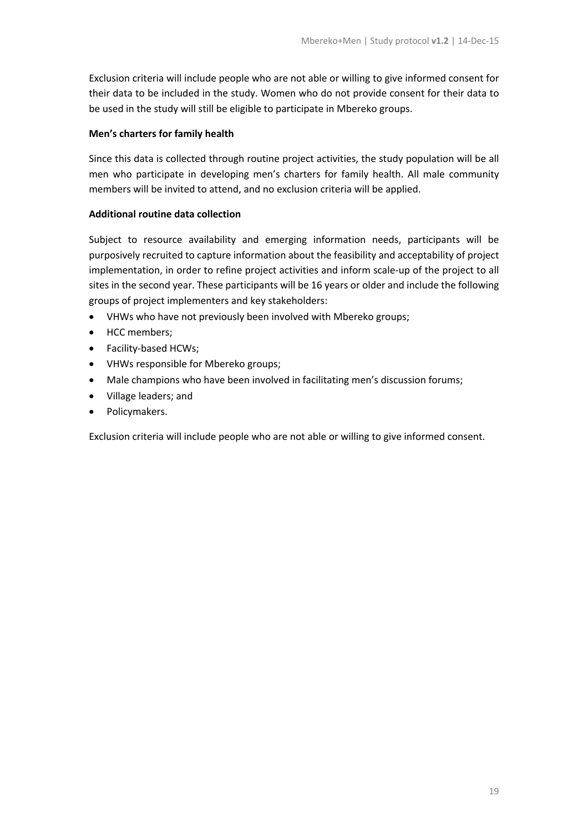Exclusion criteria will include people who are not able or willing to give informed consent for their data to be included in the study. Women who do not provide consent for their data to be used in the study will still be eligible to participate in Mbereko groups.

## **Men's charters for family health**

Since this data is collected through routine project activities, the study population will be all men who participate in developing men's charters for family health. All male community members will be invited to attend, and no exclusion criteria will be applied.

### **Additional routine data collection**

Subject to resource availability and emerging information needs, participants will be purposively recruited to capture information about the feasibility and acceptability of project implementation, in order to refine project activities and inform scale-up of the project to all sites in the second year. These participants will be 16 years or older and include the following groups of project implementers and key stakeholders:

- VHWs who have not previously been involved with Mbereko groups;
- HCC members;
- Facility-based HCWs;
- VHWs responsible for Mbereko groups;
- Male champions who have been involved in facilitating men's discussion forums;
- Village leaders; and
- Policymakers.

Exclusion criteria will include people who are not able or willing to give informed consent.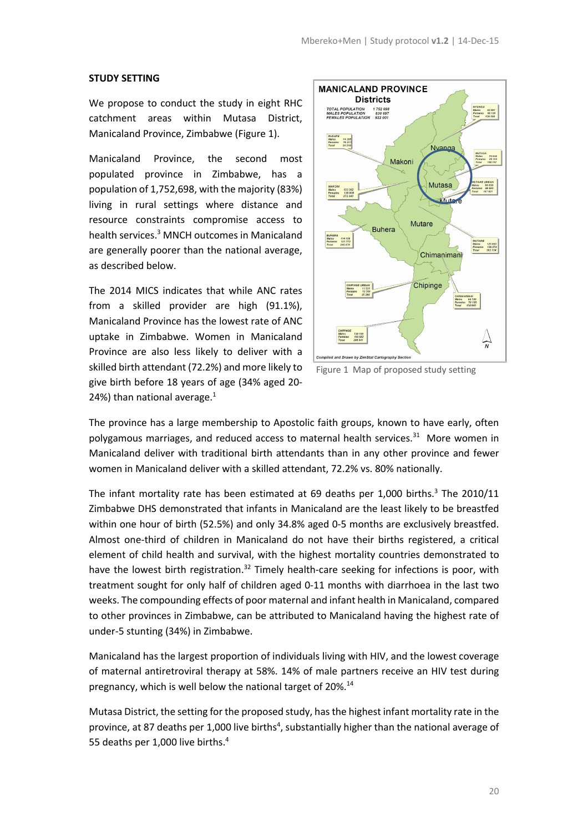#### **STUDY SETTING**

We propose to conduct the study in eight RHC catchment areas within Mutasa District, Manicaland Province, Zimbabwe (Figure 1).

Manicaland Province, the second most populated province in Zimbabwe, has a population of 1,752,698, with the majority (83%) living in rural settings where distance and resource constraints compromise access to health services.3 MNCH outcomes in Manicaland are generally poorer than the national average, as described below.

The 2014 MICS indicates that while ANC rates from a skilled provider are high (91.1%), Manicaland Province has the lowest rate of ANC uptake in Zimbabwe. Women in Manicaland Province are also less likely to deliver with a skilled birth attendant (72.2%) and more likely to give birth before 18 years of age (34% aged 20- 24%) than national average. $1$ 



Figure 1 Map of proposed study setting

The province has a large membership to Apostolic faith groups, known to have early, often polygamous marriages, and reduced access to maternal health services.<sup>31</sup> More women in Manicaland deliver with traditional birth attendants than in any other province and fewer women in Manicaland deliver with a skilled attendant, 72.2% vs. 80% nationally.

The infant mortality rate has been estimated at 69 deaths per 1,000 births. $3$  The 2010/11 Zimbabwe DHS demonstrated that infants in Manicaland are the least likely to be breastfed within one hour of birth (52.5%) and only 34.8% aged 0-5 months are exclusively breastfed. Almost one-third of children in Manicaland do not have their births registered, a critical element of child health and survival, with the highest mortality countries demonstrated to have the lowest birth registration.<sup>32</sup> Timely health-care seeking for infections is poor, with treatment sought for only half of children aged 0-11 months with diarrhoea in the last two weeks. The compounding effects of poor maternal and infant health in Manicaland, compared to other provinces in Zimbabwe, can be attributed to Manicaland having the highest rate of under-5 stunting (34%) in Zimbabwe.

Manicaland has the largest proportion of individuals living with HIV, and the lowest coverage of maternal antiretroviral therapy at 58%. 14% of male partners receive an HIV test during pregnancy, which is well below the national target of 20%.<sup>14</sup>

Mutasa District, the setting for the proposed study, has the highest infant mortality rate in the province, at 87 deaths per 1,000 live births<sup>4</sup>, substantially higher than the national average of 55 deaths per 1,000 live births.4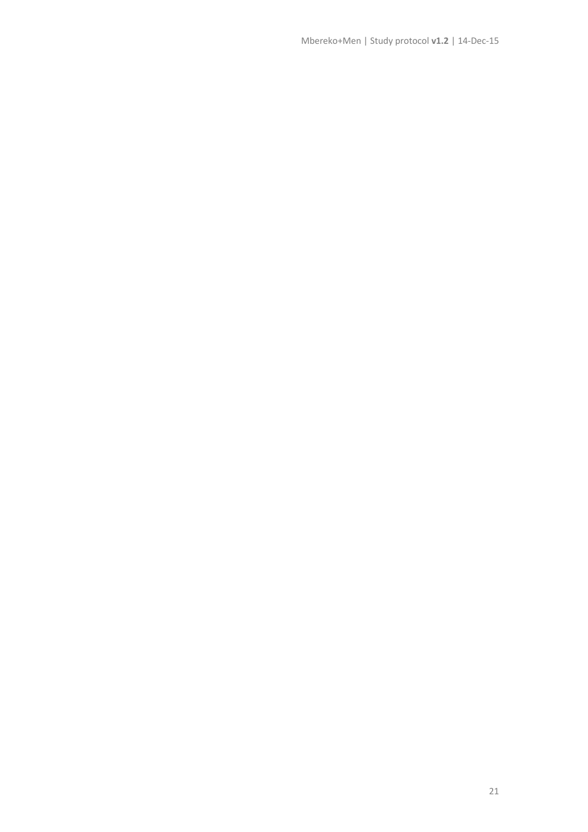Mbereko+Men | Study protocol **v1.2** | 14-Dec-15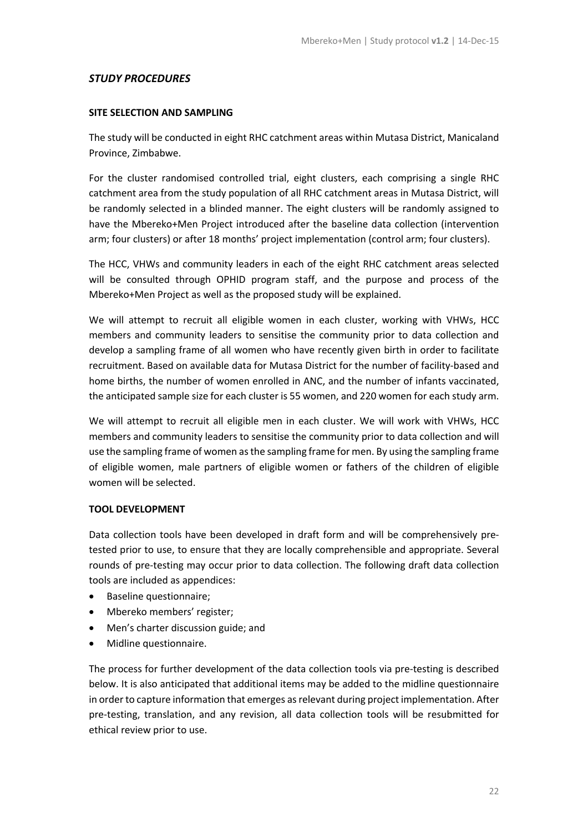### *STUDY PROCEDURES*

#### **SITE SELECTION AND SAMPLING**

The study will be conducted in eight RHC catchment areas within Mutasa District, Manicaland Province, Zimbabwe.

For the cluster randomised controlled trial, eight clusters, each comprising a single RHC catchment area from the study population of all RHC catchment areas in Mutasa District, will be randomly selected in a blinded manner. The eight clusters will be randomly assigned to have the Mbereko+Men Project introduced after the baseline data collection (intervention arm; four clusters) or after 18 months' project implementation (control arm; four clusters).

The HCC, VHWs and community leaders in each of the eight RHC catchment areas selected will be consulted through OPHID program staff, and the purpose and process of the Mbereko+Men Project as well as the proposed study will be explained.

We will attempt to recruit all eligible women in each cluster, working with VHWs, HCC members and community leaders to sensitise the community prior to data collection and develop a sampling frame of all women who have recently given birth in order to facilitate recruitment. Based on available data for Mutasa District for the number of facility-based and home births, the number of women enrolled in ANC, and the number of infants vaccinated, the anticipated sample size for each cluster is 55 women, and 220 women for each study arm.

We will attempt to recruit all eligible men in each cluster. We will work with VHWs, HCC members and community leaders to sensitise the community prior to data collection and will use the sampling frame of women as the sampling frame for men. By using the sampling frame of eligible women, male partners of eligible women or fathers of the children of eligible women will be selected.

#### **TOOL DEVELOPMENT**

Data collection tools have been developed in draft form and will be comprehensively pretested prior to use, to ensure that they are locally comprehensible and appropriate. Several rounds of pre-testing may occur prior to data collection. The following draft data collection tools are included as appendices:

- Baseline questionnaire;
- Mbereko members' register;
- Men's charter discussion guide; and
- Midline questionnaire.

The process for further development of the data collection tools via pre-testing is described below. It is also anticipated that additional items may be added to the midline questionnaire in order to capture information that emerges as relevant during project implementation. After pre-testing, translation, and any revision, all data collection tools will be resubmitted for ethical review prior to use.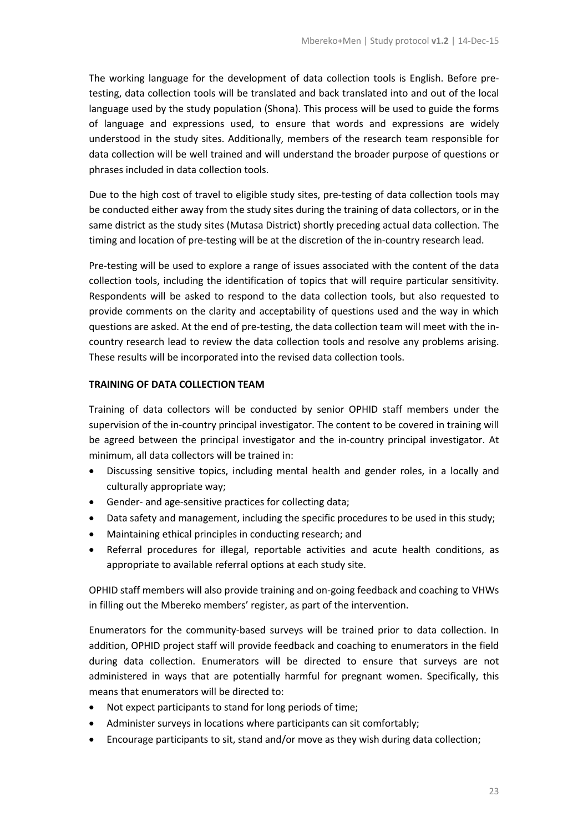The working language for the development of data collection tools is English. Before pretesting, data collection tools will be translated and back translated into and out of the local language used by the study population (Shona). This process will be used to guide the forms of language and expressions used, to ensure that words and expressions are widely understood in the study sites. Additionally, members of the research team responsible for data collection will be well trained and will understand the broader purpose of questions or phrases included in data collection tools.

Due to the high cost of travel to eligible study sites, pre-testing of data collection tools may be conducted either away from the study sites during the training of data collectors, or in the same district as the study sites (Mutasa District) shortly preceding actual data collection. The timing and location of pre-testing will be at the discretion of the in-country research lead.

Pre-testing will be used to explore a range of issues associated with the content of the data collection tools, including the identification of topics that will require particular sensitivity. Respondents will be asked to respond to the data collection tools, but also requested to provide comments on the clarity and acceptability of questions used and the way in which questions are asked. At the end of pre-testing, the data collection team will meet with the incountry research lead to review the data collection tools and resolve any problems arising. These results will be incorporated into the revised data collection tools.

## **TRAINING OF DATA COLLECTION TEAM**

Training of data collectors will be conducted by senior OPHID staff members under the supervision of the in-country principal investigator. The content to be covered in training will be agreed between the principal investigator and the in-country principal investigator. At minimum, all data collectors will be trained in:

- Discussing sensitive topics, including mental health and gender roles, in a locally and culturally appropriate way;
- Gender- and age-sensitive practices for collecting data;
- Data safety and management, including the specific procedures to be used in this study;
- Maintaining ethical principles in conducting research; and
- Referral procedures for illegal, reportable activities and acute health conditions, as appropriate to available referral options at each study site.

OPHID staff members will also provide training and on-going feedback and coaching to VHWs in filling out the Mbereko members' register, as part of the intervention.

Enumerators for the community-based surveys will be trained prior to data collection. In addition, OPHID project staff will provide feedback and coaching to enumerators in the field during data collection. Enumerators will be directed to ensure that surveys are not administered in ways that are potentially harmful for pregnant women. Specifically, this means that enumerators will be directed to:

- Not expect participants to stand for long periods of time;
- Administer surveys in locations where participants can sit comfortably;
- Encourage participants to sit, stand and/or move as they wish during data collection;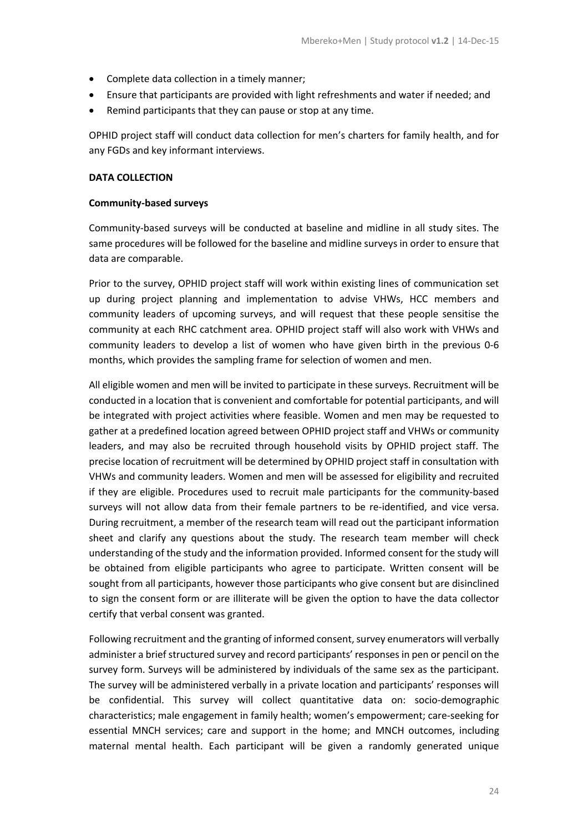- Complete data collection in a timely manner;
- Ensure that participants are provided with light refreshments and water if needed; and
- Remind participants that they can pause or stop at any time.

OPHID project staff will conduct data collection for men's charters for family health, and for any FGDs and key informant interviews.

## **DATA COLLECTION**

### **Community-based surveys**

Community-based surveys will be conducted at baseline and midline in all study sites. The same procedures will be followed for the baseline and midline surveys in order to ensure that data are comparable.

Prior to the survey, OPHID project staff will work within existing lines of communication set up during project planning and implementation to advise VHWs, HCC members and community leaders of upcoming surveys, and will request that these people sensitise the community at each RHC catchment area. OPHID project staff will also work with VHWs and community leaders to develop a list of women who have given birth in the previous 0-6 months, which provides the sampling frame for selection of women and men.

All eligible women and men will be invited to participate in these surveys. Recruitment will be conducted in a location that is convenient and comfortable for potential participants, and will be integrated with project activities where feasible. Women and men may be requested to gather at a predefined location agreed between OPHID project staff and VHWs or community leaders, and may also be recruited through household visits by OPHID project staff. The precise location of recruitment will be determined by OPHID project staff in consultation with VHWs and community leaders. Women and men will be assessed for eligibility and recruited if they are eligible. Procedures used to recruit male participants for the community-based surveys will not allow data from their female partners to be re-identified, and vice versa. During recruitment, a member of the research team will read out the participant information sheet and clarify any questions about the study. The research team member will check understanding of the study and the information provided. Informed consent for the study will be obtained from eligible participants who agree to participate. Written consent will be sought from all participants, however those participants who give consent but are disinclined to sign the consent form or are illiterate will be given the option to have the data collector certify that verbal consent was granted.

Following recruitment and the granting of informed consent, survey enumerators will verbally administer a brief structured survey and record participants' responses in pen or pencil on the survey form. Surveys will be administered by individuals of the same sex as the participant. The survey will be administered verbally in a private location and participants' responses will be confidential. This survey will collect quantitative data on: socio-demographic characteristics; male engagement in family health; women's empowerment; care-seeking for essential MNCH services; care and support in the home; and MNCH outcomes, including maternal mental health. Each participant will be given a randomly generated unique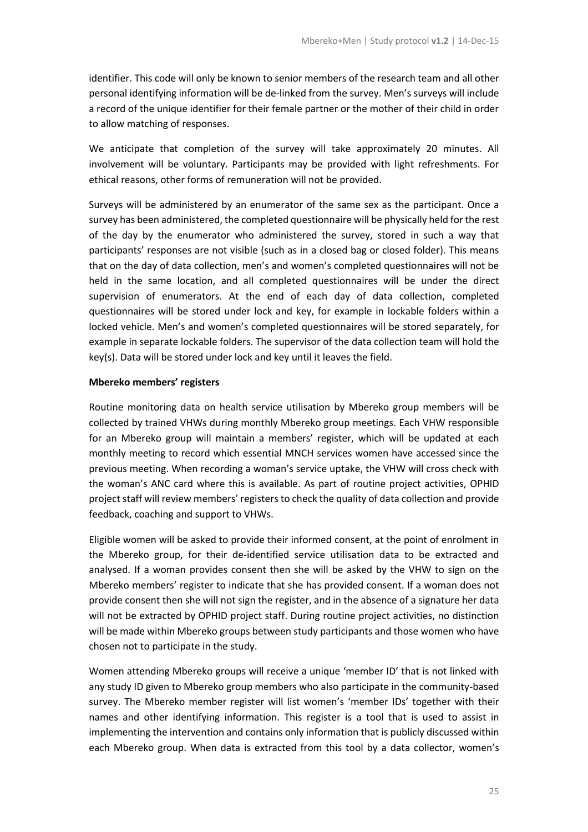identifier. This code will only be known to senior members of the research team and all other personal identifying information will be de-linked from the survey. Men's surveys will include a record of the unique identifier for their female partner or the mother of their child in order to allow matching of responses.

We anticipate that completion of the survey will take approximately 20 minutes. All involvement will be voluntary. Participants may be provided with light refreshments. For ethical reasons, other forms of remuneration will not be provided.

Surveys will be administered by an enumerator of the same sex as the participant. Once a survey has been administered, the completed questionnaire will be physically held for the rest of the day by the enumerator who administered the survey, stored in such a way that participants' responses are not visible (such as in a closed bag or closed folder). This means that on the day of data collection, men's and women's completed questionnaires will not be held in the same location, and all completed questionnaires will be under the direct supervision of enumerators. At the end of each day of data collection, completed questionnaires will be stored under lock and key, for example in lockable folders within a locked vehicle. Men's and women's completed questionnaires will be stored separately, for example in separate lockable folders. The supervisor of the data collection team will hold the key(s). Data will be stored under lock and key until it leaves the field.

#### **Mbereko members' registers**

Routine monitoring data on health service utilisation by Mbereko group members will be collected by trained VHWs during monthly Mbereko group meetings. Each VHW responsible for an Mbereko group will maintain a members' register, which will be updated at each monthly meeting to record which essential MNCH services women have accessed since the previous meeting. When recording a woman's service uptake, the VHW will cross check with the woman's ANC card where this is available. As part of routine project activities, OPHID project staff will review members' registers to check the quality of data collection and provide feedback, coaching and support to VHWs.

Eligible women will be asked to provide their informed consent, at the point of enrolment in the Mbereko group, for their de-identified service utilisation data to be extracted and analysed. If a woman provides consent then she will be asked by the VHW to sign on the Mbereko members' register to indicate that she has provided consent. If a woman does not provide consent then she will not sign the register, and in the absence of a signature her data will not be extracted by OPHID project staff. During routine project activities, no distinction will be made within Mbereko groups between study participants and those women who have chosen not to participate in the study.

Women attending Mbereko groups will receive a unique 'member ID' that is not linked with any study ID given to Mbereko group members who also participate in the community-based survey. The Mbereko member register will list women's 'member IDs' together with their names and other identifying information. This register is a tool that is used to assist in implementing the intervention and contains only information that is publicly discussed within each Mbereko group. When data is extracted from this tool by a data collector, women's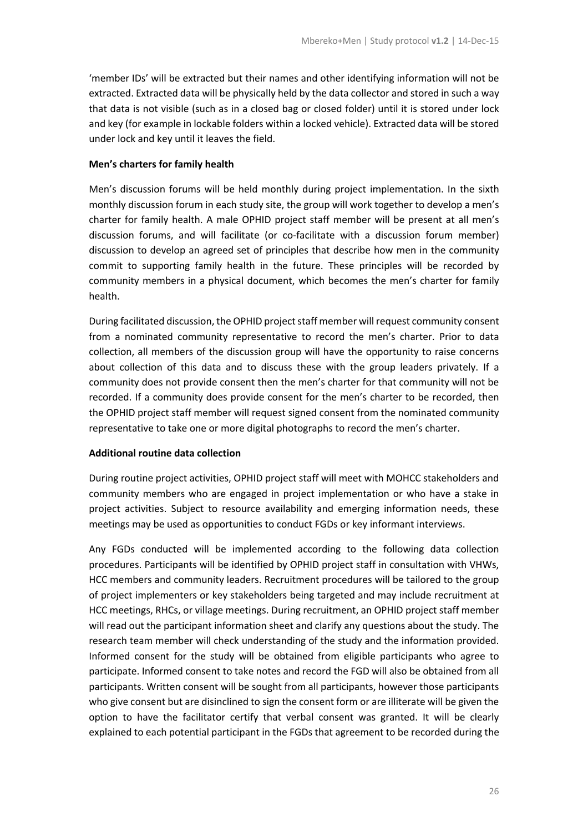'member IDs' will be extracted but their names and other identifying information will not be extracted. Extracted data will be physically held by the data collector and stored in such a way that data is not visible (such as in a closed bag or closed folder) until it is stored under lock and key (for example in lockable folders within a locked vehicle). Extracted data will be stored under lock and key until it leaves the field.

### **Men's charters for family health**

Men's discussion forums will be held monthly during project implementation. In the sixth monthly discussion forum in each study site, the group will work together to develop a men's charter for family health. A male OPHID project staff member will be present at all men's discussion forums, and will facilitate (or co-facilitate with a discussion forum member) discussion to develop an agreed set of principles that describe how men in the community commit to supporting family health in the future. These principles will be recorded by community members in a physical document, which becomes the men's charter for family health.

During facilitated discussion, the OPHID project staff member will request community consent from a nominated community representative to record the men's charter. Prior to data collection, all members of the discussion group will have the opportunity to raise concerns about collection of this data and to discuss these with the group leaders privately. If a community does not provide consent then the men's charter for that community will not be recorded. If a community does provide consent for the men's charter to be recorded, then the OPHID project staff member will request signed consent from the nominated community representative to take one or more digital photographs to record the men's charter.

## **Additional routine data collection**

During routine project activities, OPHID project staff will meet with MOHCC stakeholders and community members who are engaged in project implementation or who have a stake in project activities. Subject to resource availability and emerging information needs, these meetings may be used as opportunities to conduct FGDs or key informant interviews.

Any FGDs conducted will be implemented according to the following data collection procedures. Participants will be identified by OPHID project staff in consultation with VHWs, HCC members and community leaders. Recruitment procedures will be tailored to the group of project implementers or key stakeholders being targeted and may include recruitment at HCC meetings, RHCs, or village meetings. During recruitment, an OPHID project staff member will read out the participant information sheet and clarify any questions about the study. The research team member will check understanding of the study and the information provided. Informed consent for the study will be obtained from eligible participants who agree to participate. Informed consent to take notes and record the FGD will also be obtained from all participants. Written consent will be sought from all participants, however those participants who give consent but are disinclined to sign the consent form or are illiterate will be given the option to have the facilitator certify that verbal consent was granted. It will be clearly explained to each potential participant in the FGDs that agreement to be recorded during the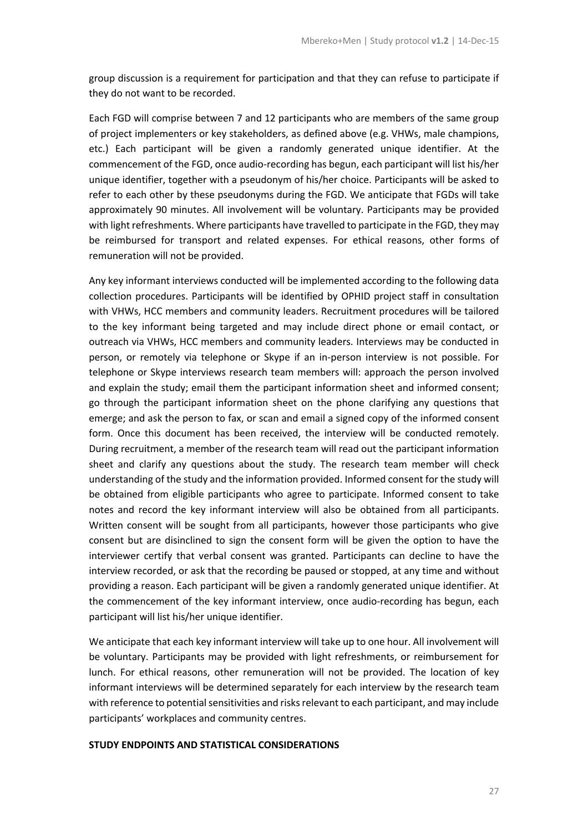group discussion is a requirement for participation and that they can refuse to participate if they do not want to be recorded.

Each FGD will comprise between 7 and 12 participants who are members of the same group of project implementers or key stakeholders, as defined above (e.g. VHWs, male champions, etc.) Each participant will be given a randomly generated unique identifier. At the commencement of the FGD, once audio-recording has begun, each participant will list his/her unique identifier, together with a pseudonym of his/her choice. Participants will be asked to refer to each other by these pseudonyms during the FGD. We anticipate that FGDs will take approximately 90 minutes. All involvement will be voluntary. Participants may be provided with light refreshments. Where participants have travelled to participate in the FGD, they may be reimbursed for transport and related expenses. For ethical reasons, other forms of remuneration will not be provided.

Any key informant interviews conducted will be implemented according to the following data collection procedures. Participants will be identified by OPHID project staff in consultation with VHWs, HCC members and community leaders. Recruitment procedures will be tailored to the key informant being targeted and may include direct phone or email contact, or outreach via VHWs, HCC members and community leaders. Interviews may be conducted in person, or remotely via telephone or Skype if an in-person interview is not possible. For telephone or Skype interviews research team members will: approach the person involved and explain the study; email them the participant information sheet and informed consent; go through the participant information sheet on the phone clarifying any questions that emerge; and ask the person to fax, or scan and email a signed copy of the informed consent form. Once this document has been received, the interview will be conducted remotely. During recruitment, a member of the research team will read out the participant information sheet and clarify any questions about the study. The research team member will check understanding of the study and the information provided. Informed consent for the study will be obtained from eligible participants who agree to participate. Informed consent to take notes and record the key informant interview will also be obtained from all participants. Written consent will be sought from all participants, however those participants who give consent but are disinclined to sign the consent form will be given the option to have the interviewer certify that verbal consent was granted. Participants can decline to have the interview recorded, or ask that the recording be paused or stopped, at any time and without providing a reason. Each participant will be given a randomly generated unique identifier. At the commencement of the key informant interview, once audio-recording has begun, each participant will list his/her unique identifier.

We anticipate that each key informant interview will take up to one hour. All involvement will be voluntary. Participants may be provided with light refreshments, or reimbursement for lunch. For ethical reasons, other remuneration will not be provided. The location of key informant interviews will be determined separately for each interview by the research team with reference to potential sensitivities and risks relevant to each participant, and may include participants' workplaces and community centres.

### **STUDY ENDPOINTS AND STATISTICAL CONSIDERATIONS**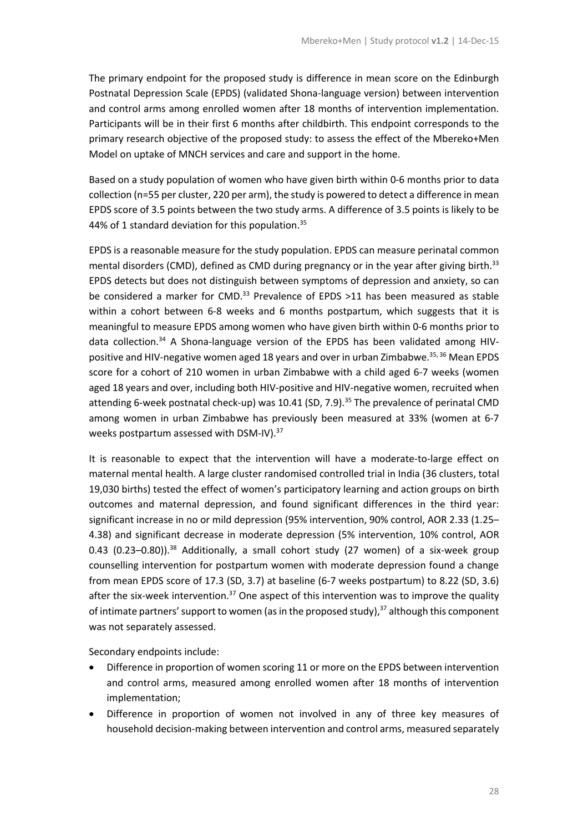The primary endpoint for the proposed study is difference in mean score on the Edinburgh Postnatal Depression Scale (EPDS) (validated Shona-language version) between intervention and control arms among enrolled women after 18 months of intervention implementation. Participants will be in their first 6 months after childbirth. This endpoint corresponds to the primary research objective of the proposed study: to assess the effect of the Mbereko+Men Model on uptake of MNCH services and care and support in the home.

Based on a study population of women who have given birth within 0-6 months prior to data collection (n=55 per cluster, 220 per arm), the study is powered to detect a difference in mean EPDS score of 3.5 points between the two study arms. A difference of 3.5 points is likely to be 44% of 1 standard deviation for this population.<sup>35</sup>

EPDS is a reasonable measure for the study population. EPDS can measure perinatal common mental disorders (CMD), defined as CMD during pregnancy or in the year after giving birth.<sup>33</sup> EPDS detects but does not distinguish between symptoms of depression and anxiety, so can be considered a marker for CMD. $33$  Prevalence of EPDS >11 has been measured as stable within a cohort between 6-8 weeks and 6 months postpartum, which suggests that it is meaningful to measure EPDS among women who have given birth within 0-6 months prior to data collection.<sup>34</sup> A Shona-language version of the EPDS has been validated among HIVpositive and HIV-negative women aged 18 years and over in urban Zimbabwe.<sup>35, 36</sup> Mean EPDS score for a cohort of 210 women in urban Zimbabwe with a child aged 6-7 weeks (women aged 18 years and over, including both HIV-positive and HIV-negative women, recruited when attending 6-week postnatal check-up) was 10.41 (SD, 7.9).<sup>35</sup> The prevalence of perinatal CMD among women in urban Zimbabwe has previously been measured at 33% (women at 6-7 weeks postpartum assessed with DSM-IV).<sup>37</sup>

It is reasonable to expect that the intervention will have a moderate-to-large effect on maternal mental health. A large cluster randomised controlled trial in India (36 clusters, total 19,030 births) tested the effect of women's participatory learning and action groups on birth outcomes and maternal depression, and found significant differences in the third year: significant increase in no or mild depression (95% intervention, 90% control, AOR 2.33 (1.25– 4.38) and significant decrease in moderate depression (5% intervention, 10% control, AOR 0.43 (0.23–0.80)).<sup>38</sup> Additionally, a small cohort study (27 women) of a six-week group counselling intervention for postpartum women with moderate depression found a change from mean EPDS score of 17.3 (SD, 3.7) at baseline (6-7 weeks postpartum) to 8.22 (SD, 3.6) after the six-week intervention.<sup>37</sup> One aspect of this intervention was to improve the quality of intimate partners' support to women (as in the proposed study),<sup>37</sup> although this component was not separately assessed.

Secondary endpoints include:

- Difference in proportion of women scoring 11 or more on the EPDS between intervention and control arms, measured among enrolled women after 18 months of intervention implementation;
- Difference in proportion of women not involved in any of three key measures of household decision-making between intervention and control arms, measured separately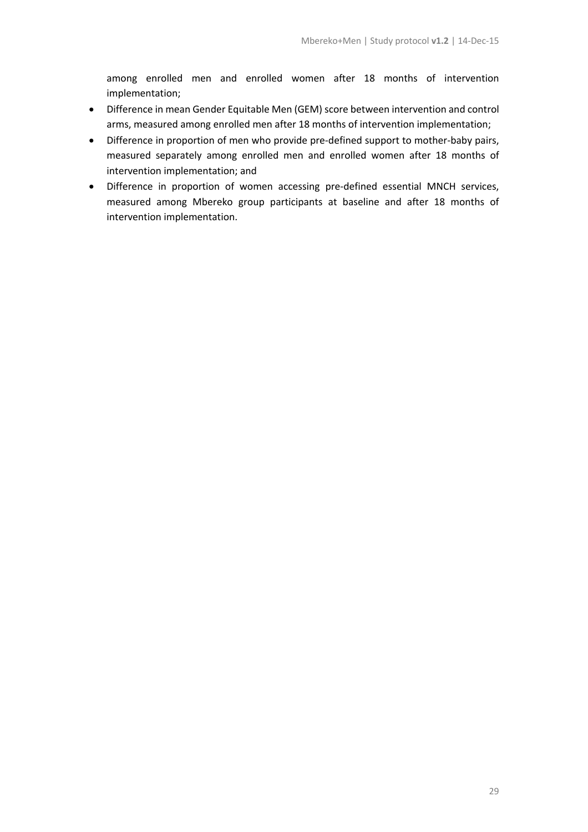among enrolled men and enrolled women after 18 months of intervention implementation;

- Difference in mean Gender Equitable Men (GEM) score between intervention and control arms, measured among enrolled men after 18 months of intervention implementation;
- Difference in proportion of men who provide pre-defined support to mother-baby pairs, measured separately among enrolled men and enrolled women after 18 months of intervention implementation; and
- Difference in proportion of women accessing pre-defined essential MNCH services, measured among Mbereko group participants at baseline and after 18 months of intervention implementation.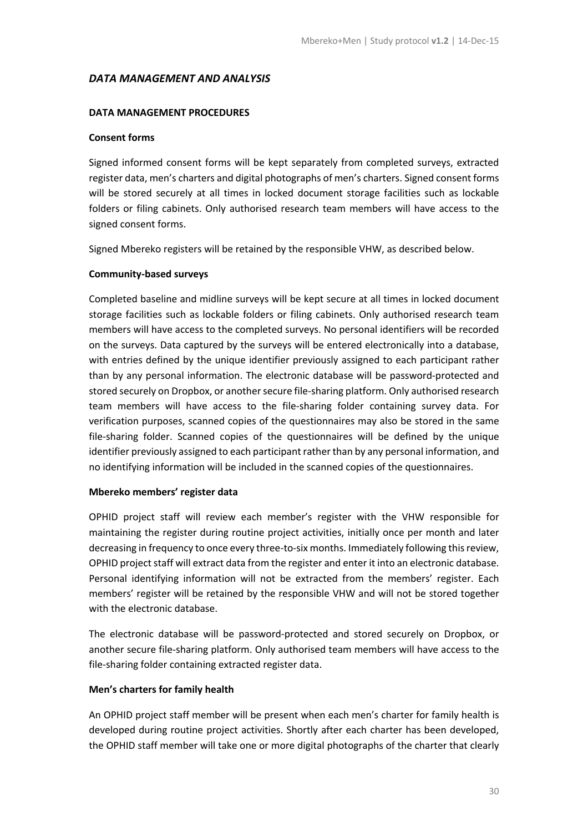# *DATA MANAGEMENT AND ANALYSIS*

## **DATA MANAGEMENT PROCEDURES**

## **Consent forms**

Signed informed consent forms will be kept separately from completed surveys, extracted register data, men's charters and digital photographs of men's charters. Signed consent forms will be stored securely at all times in locked document storage facilities such as lockable folders or filing cabinets. Only authorised research team members will have access to the signed consent forms.

Signed Mbereko registers will be retained by the responsible VHW, as described below.

# **Community-based surveys**

Completed baseline and midline surveys will be kept secure at all times in locked document storage facilities such as lockable folders or filing cabinets. Only authorised research team members will have access to the completed surveys. No personal identifiers will be recorded on the surveys. Data captured by the surveys will be entered electronically into a database, with entries defined by the unique identifier previously assigned to each participant rather than by any personal information. The electronic database will be password-protected and stored securely on Dropbox, or another secure file-sharing platform. Only authorised research team members will have access to the file-sharing folder containing survey data. For verification purposes, scanned copies of the questionnaires may also be stored in the same file-sharing folder. Scanned copies of the questionnaires will be defined by the unique identifier previously assigned to each participant rather than by any personal information, and no identifying information will be included in the scanned copies of the questionnaires.

## **Mbereko members' register data**

OPHID project staff will review each member's register with the VHW responsible for maintaining the register during routine project activities, initially once per month and later decreasing in frequency to once every three-to-six months. Immediately following this review, OPHID project staff will extract data from the register and enter it into an electronic database. Personal identifying information will not be extracted from the members' register. Each members' register will be retained by the responsible VHW and will not be stored together with the electronic database.

The electronic database will be password-protected and stored securely on Dropbox, or another secure file-sharing platform. Only authorised team members will have access to the file-sharing folder containing extracted register data.

# **Men's charters for family health**

An OPHID project staff member will be present when each men's charter for family health is developed during routine project activities. Shortly after each charter has been developed, the OPHID staff member will take one or more digital photographs of the charter that clearly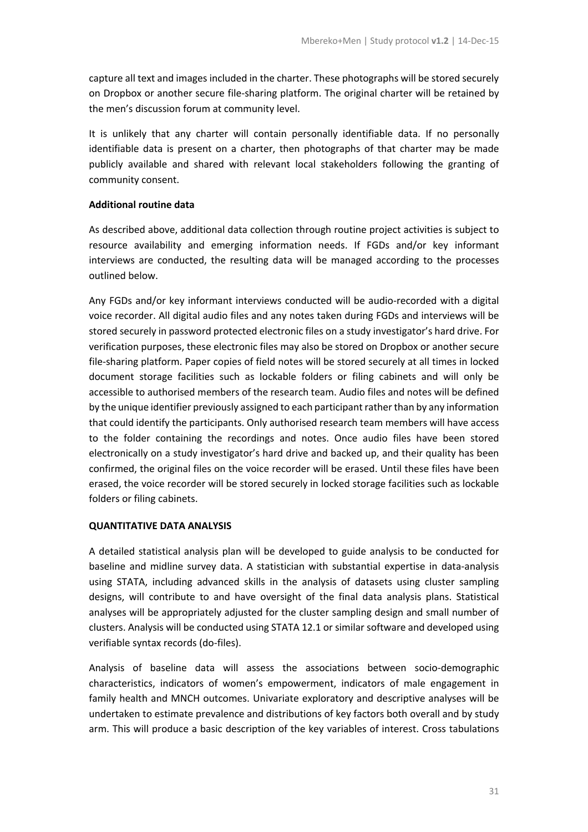capture all text and images included in the charter. These photographs will be stored securely on Dropbox or another secure file-sharing platform. The original charter will be retained by the men's discussion forum at community level.

It is unlikely that any charter will contain personally identifiable data. If no personally identifiable data is present on a charter, then photographs of that charter may be made publicly available and shared with relevant local stakeholders following the granting of community consent.

#### **Additional routine data**

As described above, additional data collection through routine project activities is subject to resource availability and emerging information needs. If FGDs and/or key informant interviews are conducted, the resulting data will be managed according to the processes outlined below.

Any FGDs and/or key informant interviews conducted will be audio-recorded with a digital voice recorder. All digital audio files and any notes taken during FGDs and interviews will be stored securely in password protected electronic files on a study investigator's hard drive. For verification purposes, these electronic files may also be stored on Dropbox or another secure file-sharing platform. Paper copies of field notes will be stored securely at all times in locked document storage facilities such as lockable folders or filing cabinets and will only be accessible to authorised members of the research team. Audio files and notes will be defined by the unique identifier previously assigned to each participant rather than by any information that could identify the participants. Only authorised research team members will have access to the folder containing the recordings and notes. Once audio files have been stored electronically on a study investigator's hard drive and backed up, and their quality has been confirmed, the original files on the voice recorder will be erased. Until these files have been erased, the voice recorder will be stored securely in locked storage facilities such as lockable folders or filing cabinets.

#### **QUANTITATIVE DATA ANALYSIS**

A detailed statistical analysis plan will be developed to guide analysis to be conducted for baseline and midline survey data. A statistician with substantial expertise in data-analysis using STATA, including advanced skills in the analysis of datasets using cluster sampling designs, will contribute to and have oversight of the final data analysis plans. Statistical analyses will be appropriately adjusted for the cluster sampling design and small number of clusters. Analysis will be conducted using STATA 12.1 or similar software and developed using verifiable syntax records (do-files).

Analysis of baseline data will assess the associations between socio-demographic characteristics, indicators of women's empowerment, indicators of male engagement in family health and MNCH outcomes. Univariate exploratory and descriptive analyses will be undertaken to estimate prevalence and distributions of key factors both overall and by study arm. This will produce a basic description of the key variables of interest. Cross tabulations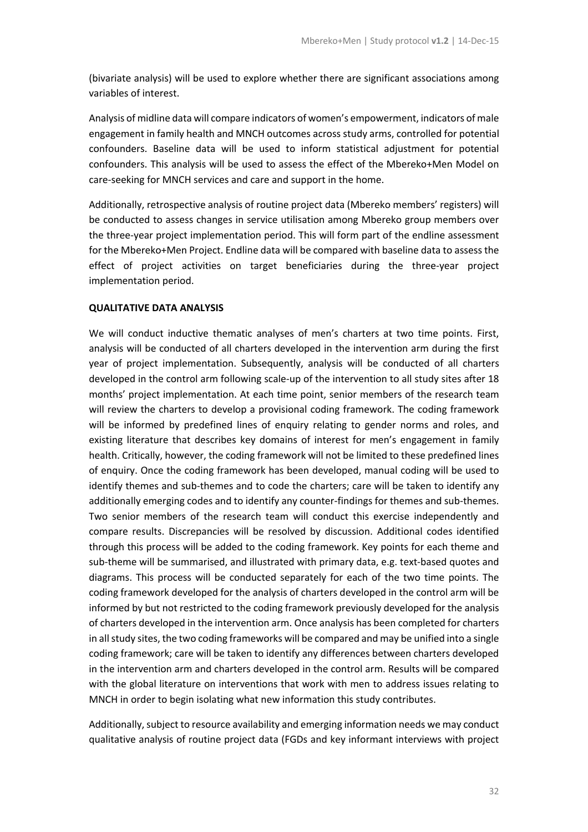(bivariate analysis) will be used to explore whether there are significant associations among variables of interest.

Analysis of midline data will compare indicators of women's empowerment, indicators of male engagement in family health and MNCH outcomes across study arms, controlled for potential confounders. Baseline data will be used to inform statistical adjustment for potential confounders. This analysis will be used to assess the effect of the Mbereko+Men Model on care-seeking for MNCH services and care and support in the home.

Additionally, retrospective analysis of routine project data (Mbereko members' registers) will be conducted to assess changes in service utilisation among Mbereko group members over the three-year project implementation period. This will form part of the endline assessment for the Mbereko+Men Project. Endline data will be compared with baseline data to assess the effect of project activities on target beneficiaries during the three-year project implementation period.

#### **QUALITATIVE DATA ANALYSIS**

We will conduct inductive thematic analyses of men's charters at two time points. First, analysis will be conducted of all charters developed in the intervention arm during the first year of project implementation. Subsequently, analysis will be conducted of all charters developed in the control arm following scale-up of the intervention to all study sites after 18 months' project implementation. At each time point, senior members of the research team will review the charters to develop a provisional coding framework. The coding framework will be informed by predefined lines of enquiry relating to gender norms and roles, and existing literature that describes key domains of interest for men's engagement in family health. Critically, however, the coding framework will not be limited to these predefined lines of enquiry. Once the coding framework has been developed, manual coding will be used to identify themes and sub-themes and to code the charters; care will be taken to identify any additionally emerging codes and to identify any counter-findings for themes and sub-themes. Two senior members of the research team will conduct this exercise independently and compare results. Discrepancies will be resolved by discussion. Additional codes identified through this process will be added to the coding framework. Key points for each theme and sub-theme will be summarised, and illustrated with primary data, e.g. text-based quotes and diagrams. This process will be conducted separately for each of the two time points. The coding framework developed for the analysis of charters developed in the control arm will be informed by but not restricted to the coding framework previously developed for the analysis of charters developed in the intervention arm. Once analysis has been completed for charters in all study sites, the two coding frameworks will be compared and may be unified into a single coding framework; care will be taken to identify any differences between charters developed in the intervention arm and charters developed in the control arm. Results will be compared with the global literature on interventions that work with men to address issues relating to MNCH in order to begin isolating what new information this study contributes.

Additionally, subject to resource availability and emerging information needs we may conduct qualitative analysis of routine project data (FGDs and key informant interviews with project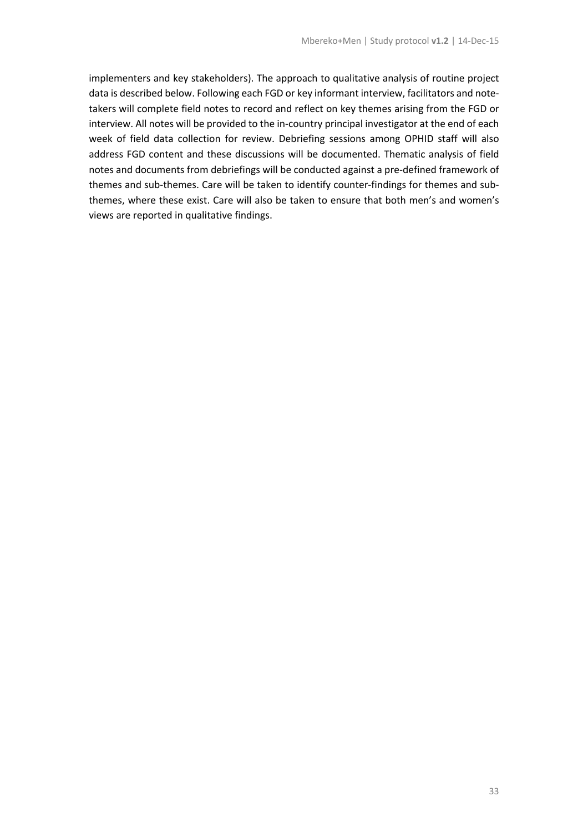implementers and key stakeholders). The approach to qualitative analysis of routine project data is described below. Following each FGD or key informant interview, facilitators and notetakers will complete field notes to record and reflect on key themes arising from the FGD or interview. All notes will be provided to the in-country principal investigator at the end of each week of field data collection for review. Debriefing sessions among OPHID staff will also address FGD content and these discussions will be documented. Thematic analysis of field notes and documents from debriefings will be conducted against a pre-defined framework of themes and sub-themes. Care will be taken to identify counter-findings for themes and subthemes, where these exist. Care will also be taken to ensure that both men's and women's views are reported in qualitative findings.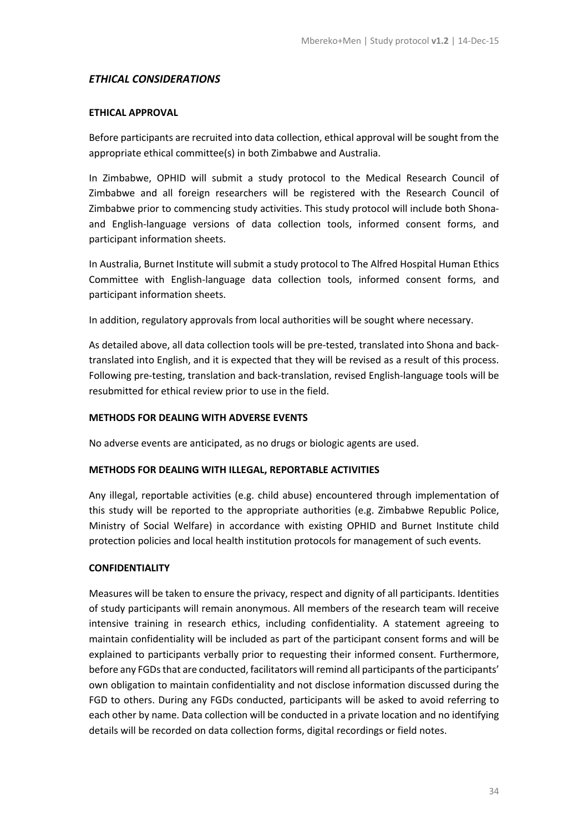# *ETHICAL CONSIDERATIONS*

## **ETHICAL APPROVAL**

Before participants are recruited into data collection, ethical approval will be sought from the appropriate ethical committee(s) in both Zimbabwe and Australia.

In Zimbabwe, OPHID will submit a study protocol to the Medical Research Council of Zimbabwe and all foreign researchers will be registered with the Research Council of Zimbabwe prior to commencing study activities. This study protocol will include both Shonaand English-language versions of data collection tools, informed consent forms, and participant information sheets.

In Australia, Burnet Institute will submit a study protocol to The Alfred Hospital Human Ethics Committee with English-language data collection tools, informed consent forms, and participant information sheets.

In addition, regulatory approvals from local authorities will be sought where necessary.

As detailed above, all data collection tools will be pre-tested, translated into Shona and backtranslated into English, and it is expected that they will be revised as a result of this process. Following pre-testing, translation and back-translation, revised English-language tools will be resubmitted for ethical review prior to use in the field.

## **METHODS FOR DEALING WITH ADVERSE EVENTS**

No adverse events are anticipated, as no drugs or biologic agents are used.

## **METHODS FOR DEALING WITH ILLEGAL, REPORTABLE ACTIVITIES**

Any illegal, reportable activities (e.g. child abuse) encountered through implementation of this study will be reported to the appropriate authorities (e.g. Zimbabwe Republic Police, Ministry of Social Welfare) in accordance with existing OPHID and Burnet Institute child protection policies and local health institution protocols for management of such events.

# **CONFIDENTIALITY**

Measures will be taken to ensure the privacy, respect and dignity of all participants. Identities of study participants will remain anonymous. All members of the research team will receive intensive training in research ethics, including confidentiality. A statement agreeing to maintain confidentiality will be included as part of the participant consent forms and will be explained to participants verbally prior to requesting their informed consent. Furthermore, before any FGDs that are conducted, facilitators will remind all participants of the participants' own obligation to maintain confidentiality and not disclose information discussed during the FGD to others. During any FGDs conducted, participants will be asked to avoid referring to each other by name. Data collection will be conducted in a private location and no identifying details will be recorded on data collection forms, digital recordings or field notes.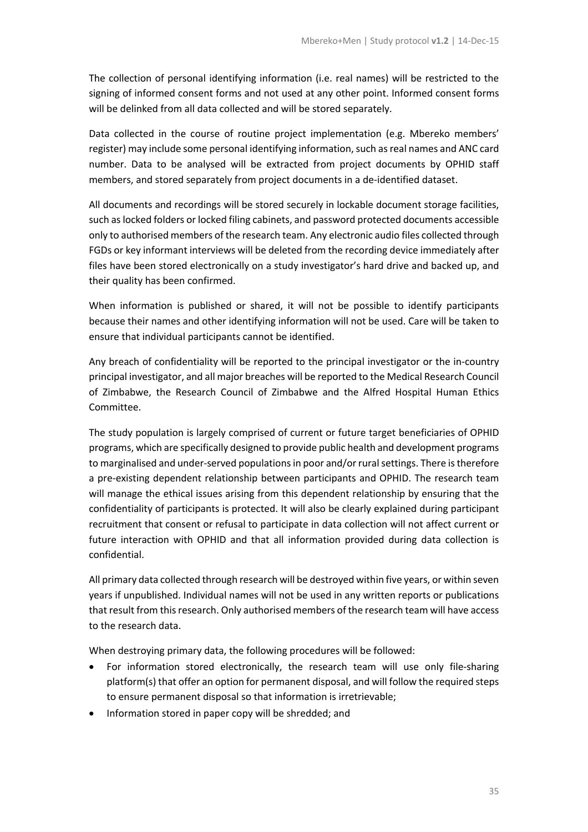The collection of personal identifying information (i.e. real names) will be restricted to the signing of informed consent forms and not used at any other point. Informed consent forms will be delinked from all data collected and will be stored separately.

Data collected in the course of routine project implementation (e.g. Mbereko members' register) may include some personal identifying information, such as real names and ANC card number. Data to be analysed will be extracted from project documents by OPHID staff members, and stored separately from project documents in a de-identified dataset.

All documents and recordings will be stored securely in lockable document storage facilities, such as locked folders or locked filing cabinets, and password protected documents accessible only to authorised members of the research team. Any electronic audio files collected through FGDs or key informant interviews will be deleted from the recording device immediately after files have been stored electronically on a study investigator's hard drive and backed up, and their quality has been confirmed.

When information is published or shared, it will not be possible to identify participants because their names and other identifying information will not be used. Care will be taken to ensure that individual participants cannot be identified.

Any breach of confidentiality will be reported to the principal investigator or the in-country principal investigator, and all major breaches will be reported to the Medical Research Council of Zimbabwe, the Research Council of Zimbabwe and the Alfred Hospital Human Ethics Committee.

The study population is largely comprised of current or future target beneficiaries of OPHID programs, which are specifically designed to provide public health and development programs to marginalised and under-served populations in poor and/or rural settings. There is therefore a pre-existing dependent relationship between participants and OPHID. The research team will manage the ethical issues arising from this dependent relationship by ensuring that the confidentiality of participants is protected. It will also be clearly explained during participant recruitment that consent or refusal to participate in data collection will not affect current or future interaction with OPHID and that all information provided during data collection is confidential.

All primary data collected through research will be destroyed within five years, or within seven years if unpublished. Individual names will not be used in any written reports or publications that result from this research. Only authorised members of the research team will have access to the research data.

When destroying primary data, the following procedures will be followed:

- For information stored electronically, the research team will use only file-sharing platform(s) that offer an option for permanent disposal, and will follow the required steps to ensure permanent disposal so that information is irretrievable;
- Information stored in paper copy will be shredded; and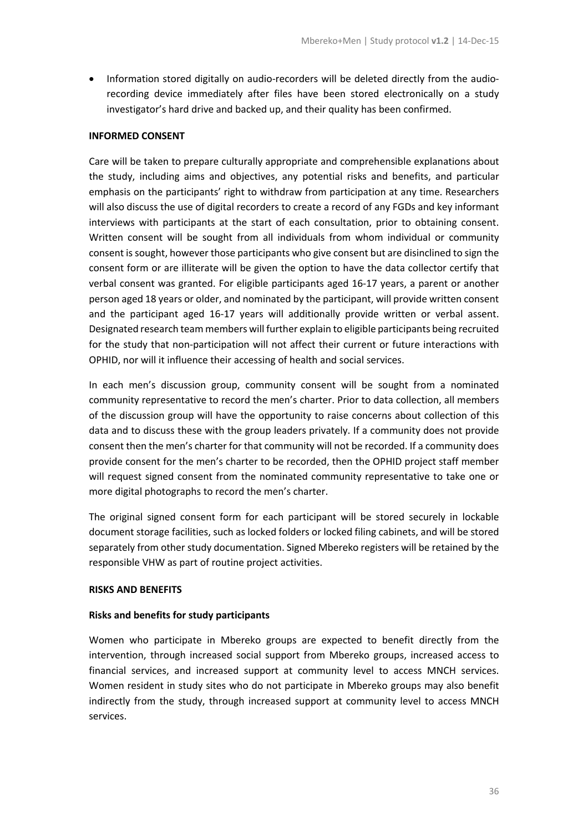• Information stored digitally on audio-recorders will be deleted directly from the audiorecording device immediately after files have been stored electronically on a study investigator's hard drive and backed up, and their quality has been confirmed.

### **INFORMED CONSENT**

Care will be taken to prepare culturally appropriate and comprehensible explanations about the study, including aims and objectives, any potential risks and benefits, and particular emphasis on the participants' right to withdraw from participation at any time. Researchers will also discuss the use of digital recorders to create a record of any FGDs and key informant interviews with participants at the start of each consultation, prior to obtaining consent. Written consent will be sought from all individuals from whom individual or community consent is sought, however those participants who give consent but are disinclined to sign the consent form or are illiterate will be given the option to have the data collector certify that verbal consent was granted. For eligible participants aged 16-17 years, a parent or another person aged 18 years or older, and nominated by the participant, will provide written consent and the participant aged 16-17 years will additionally provide written or verbal assent. Designated research team members will further explain to eligible participants being recruited for the study that non-participation will not affect their current or future interactions with OPHID, nor will it influence their accessing of health and social services.

In each men's discussion group, community consent will be sought from a nominated community representative to record the men's charter. Prior to data collection, all members of the discussion group will have the opportunity to raise concerns about collection of this data and to discuss these with the group leaders privately. If a community does not provide consent then the men's charter for that community will not be recorded. If a community does provide consent for the men's charter to be recorded, then the OPHID project staff member will request signed consent from the nominated community representative to take one or more digital photographs to record the men's charter.

The original signed consent form for each participant will be stored securely in lockable document storage facilities, such as locked folders or locked filing cabinets, and will be stored separately from other study documentation. Signed Mbereko registers will be retained by the responsible VHW as part of routine project activities.

#### **RISKS AND BENEFITS**

#### **Risks and benefits for study participants**

Women who participate in Mbereko groups are expected to benefit directly from the intervention, through increased social support from Mbereko groups, increased access to financial services, and increased support at community level to access MNCH services. Women resident in study sites who do not participate in Mbereko groups may also benefit indirectly from the study, through increased support at community level to access MNCH services.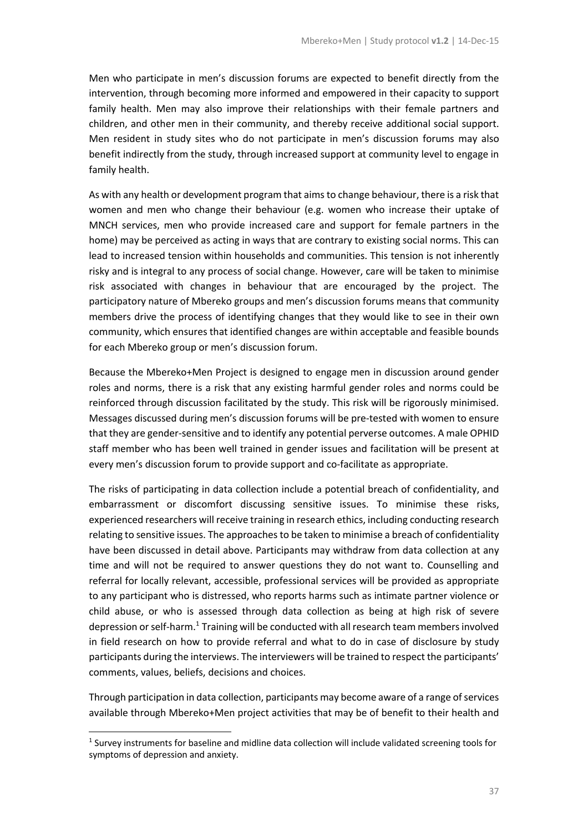Men who participate in men's discussion forums are expected to benefit directly from the intervention, through becoming more informed and empowered in their capacity to support family health. Men may also improve their relationships with their female partners and children, and other men in their community, and thereby receive additional social support. Men resident in study sites who do not participate in men's discussion forums may also benefit indirectly from the study, through increased support at community level to engage in family health.

As with any health or development program that aims to change behaviour, there is a risk that women and men who change their behaviour (e.g. women who increase their uptake of MNCH services, men who provide increased care and support for female partners in the home) may be perceived as acting in ways that are contrary to existing social norms. This can lead to increased tension within households and communities. This tension is not inherently risky and is integral to any process of social change. However, care will be taken to minimise risk associated with changes in behaviour that are encouraged by the project. The participatory nature of Mbereko groups and men's discussion forums means that community members drive the process of identifying changes that they would like to see in their own community, which ensures that identified changes are within acceptable and feasible bounds for each Mbereko group or men's discussion forum.

Because the Mbereko+Men Project is designed to engage men in discussion around gender roles and norms, there is a risk that any existing harmful gender roles and norms could be reinforced through discussion facilitated by the study. This risk will be rigorously minimised. Messages discussed during men's discussion forums will be pre-tested with women to ensure that they are gender-sensitive and to identify any potential perverse outcomes. A male OPHID staff member who has been well trained in gender issues and facilitation will be present at every men's discussion forum to provide support and co-facilitate as appropriate.

The risks of participating in data collection include a potential breach of confidentiality, and embarrassment or discomfort discussing sensitive issues. To minimise these risks, experienced researchers will receive training in research ethics, including conducting research relating to sensitive issues. The approaches to be taken to minimise a breach of confidentiality have been discussed in detail above. Participants may withdraw from data collection at any time and will not be required to answer questions they do not want to. Counselling and referral for locally relevant, accessible, professional services will be provided as appropriate to any participant who is distressed, who reports harms such as intimate partner violence or child abuse, or who is assessed through data collection as being at high risk of severe depression or self-harm.<sup>1</sup> Training will be conducted with all research team members involved in field research on how to provide referral and what to do in case of disclosure by study participants during the interviews. The interviewers will be trained to respect the participants' comments, values, beliefs, decisions and choices.

Through participation in data collection, participants may become aware of a range of services available through Mbereko+Men project activities that may be of benefit to their health and

<sup>&</sup>lt;sup>1</sup> Survey instruments for baseline and midline data collection will include validated screening tools for symptoms of depression and anxiety.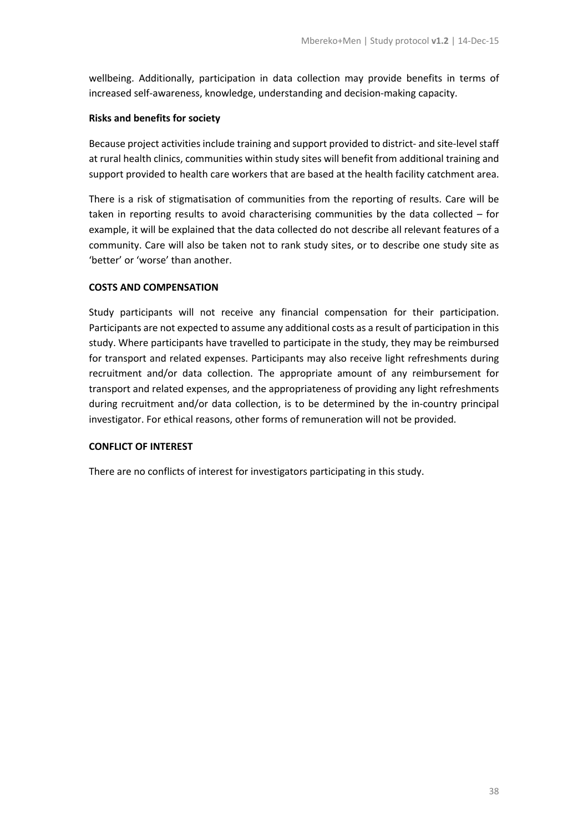wellbeing. Additionally, participation in data collection may provide benefits in terms of increased self-awareness, knowledge, understanding and decision-making capacity.

## **Risks and benefits for society**

Because project activities include training and support provided to district- and site-level staff at rural health clinics, communities within study sites will benefit from additional training and support provided to health care workers that are based at the health facility catchment area.

There is a risk of stigmatisation of communities from the reporting of results. Care will be taken in reporting results to avoid characterising communities by the data collected – for example, it will be explained that the data collected do not describe all relevant features of a community. Care will also be taken not to rank study sites, or to describe one study site as 'better' or 'worse' than another.

# **COSTS AND COMPENSATION**

Study participants will not receive any financial compensation for their participation. Participants are not expected to assume any additional costs as a result of participation in this study. Where participants have travelled to participate in the study, they may be reimbursed for transport and related expenses. Participants may also receive light refreshments during recruitment and/or data collection. The appropriate amount of any reimbursement for transport and related expenses, and the appropriateness of providing any light refreshments during recruitment and/or data collection, is to be determined by the in-country principal investigator. For ethical reasons, other forms of remuneration will not be provided.

## **CONFLICT OF INTEREST**

There are no conflicts of interest for investigators participating in this study.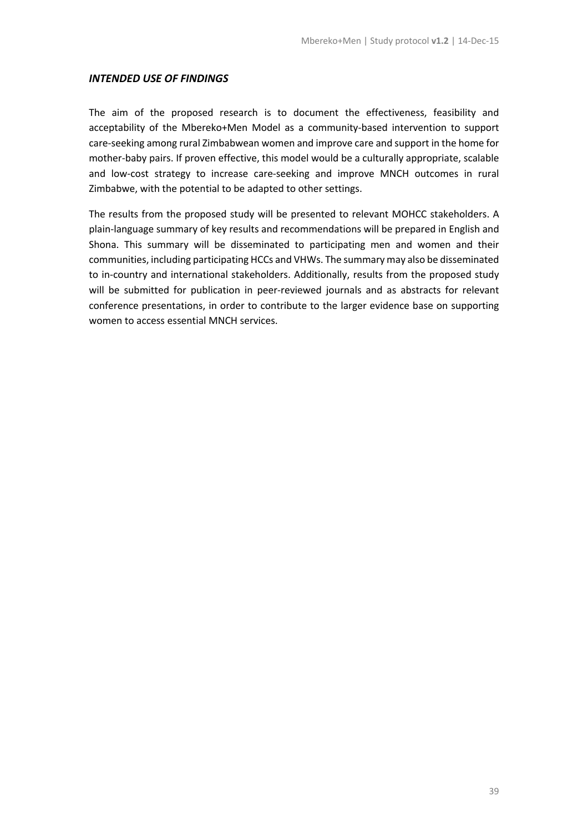### *INTENDED USE OF FINDINGS*

The aim of the proposed research is to document the effectiveness, feasibility and acceptability of the Mbereko+Men Model as a community-based intervention to support care-seeking among rural Zimbabwean women and improve care and support in the home for mother-baby pairs. If proven effective, this model would be a culturally appropriate, scalable and low-cost strategy to increase care-seeking and improve MNCH outcomes in rural Zimbabwe, with the potential to be adapted to other settings.

The results from the proposed study will be presented to relevant MOHCC stakeholders. A plain-language summary of key results and recommendations will be prepared in English and Shona. This summary will be disseminated to participating men and women and their communities, including participating HCCs and VHWs. The summary may also be disseminated to in-country and international stakeholders. Additionally, results from the proposed study will be submitted for publication in peer-reviewed journals and as abstracts for relevant conference presentations, in order to contribute to the larger evidence base on supporting women to access essential MNCH services.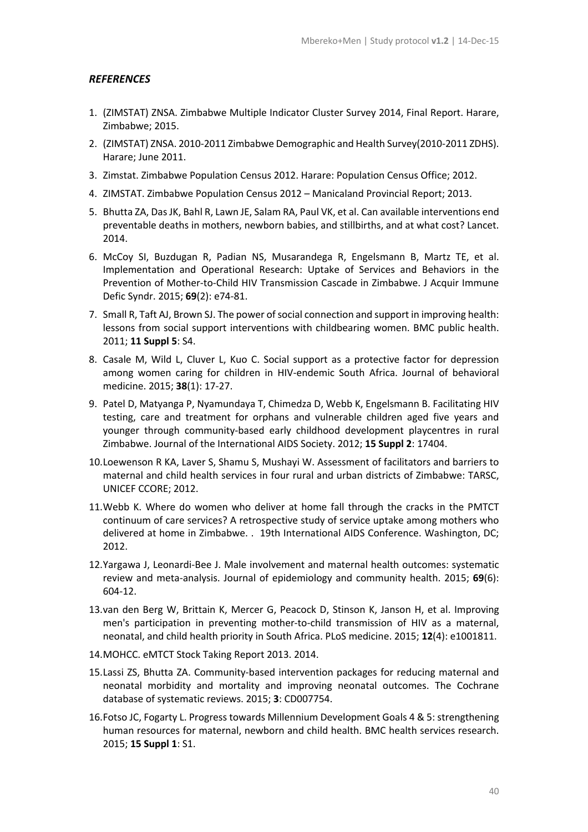#### *REFERENCES*

- 1. (ZIMSTAT) ZNSA. Zimbabwe Multiple Indicator Cluster Survey 2014, Final Report. Harare, Zimbabwe; 2015.
- 2. (ZIMSTAT) ZNSA. 2010-2011 Zimbabwe Demographic and Health Survey(2010-2011 ZDHS). Harare; June 2011.
- 3. Zimstat. Zimbabwe Population Census 2012. Harare: Population Census Office; 2012.
- 4. ZIMSTAT. Zimbabwe Population Census 2012 Manicaland Provincial Report; 2013.
- 5. Bhutta ZA, Das JK, Bahl R, Lawn JE, Salam RA, Paul VK, et al. Can available interventions end preventable deaths in mothers, newborn babies, and stillbirths, and at what cost? Lancet. 2014.
- 6. McCoy SI, Buzdugan R, Padian NS, Musarandega R, Engelsmann B, Martz TE, et al. Implementation and Operational Research: Uptake of Services and Behaviors in the Prevention of Mother-to-Child HIV Transmission Cascade in Zimbabwe. J Acquir Immune Defic Syndr. 2015; **69**(2): e74-81.
- 7. Small R, Taft AJ, Brown SJ. The power of social connection and support in improving health: lessons from social support interventions with childbearing women. BMC public health. 2011; **11 Suppl 5**: S4.
- 8. Casale M, Wild L, Cluver L, Kuo C. Social support as a protective factor for depression among women caring for children in HIV-endemic South Africa. Journal of behavioral medicine. 2015; **38**(1): 17-27.
- 9. Patel D, Matyanga P, Nyamundaya T, Chimedza D, Webb K, Engelsmann B. Facilitating HIV testing, care and treatment for orphans and vulnerable children aged five years and younger through community-based early childhood development playcentres in rural Zimbabwe. Journal of the International AIDS Society. 2012; **15 Suppl 2**: 17404.
- 10.Loewenson R KA, Laver S, Shamu S, Mushayi W. Assessment of facilitators and barriers to maternal and child health services in four rural and urban districts of Zimbabwe: TARSC, UNICEF CCORE; 2012.
- 11.Webb K. Where do women who deliver at home fall through the cracks in the PMTCT continuum of care services? A retrospective study of service uptake among mothers who delivered at home in Zimbabwe. . 19th International AIDS Conference. Washington, DC; 2012.
- 12.Yargawa J, Leonardi-Bee J. Male involvement and maternal health outcomes: systematic review and meta-analysis. Journal of epidemiology and community health. 2015; **69**(6): 604-12.
- 13.van den Berg W, Brittain K, Mercer G, Peacock D, Stinson K, Janson H, et al. Improving men's participation in preventing mother-to-child transmission of HIV as a maternal, neonatal, and child health priority in South Africa. PLoS medicine. 2015; **12**(4): e1001811.
- 14.MOHCC. eMTCT Stock Taking Report 2013. 2014.
- 15.Lassi ZS, Bhutta ZA. Community-based intervention packages for reducing maternal and neonatal morbidity and mortality and improving neonatal outcomes. The Cochrane database of systematic reviews. 2015; **3**: CD007754.
- 16.Fotso JC, Fogarty L. Progress towards Millennium Development Goals 4 & 5: strengthening human resources for maternal, newborn and child health. BMC health services research. 2015; **15 Suppl 1**: S1.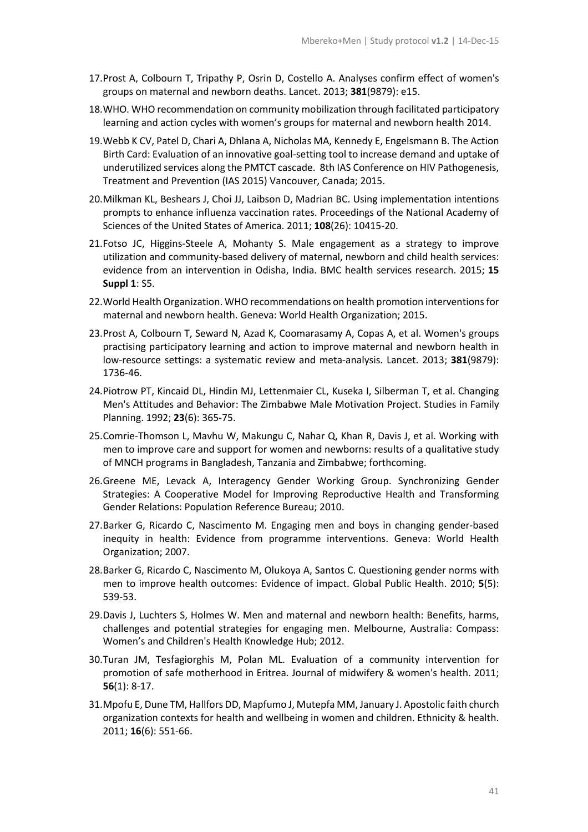- 17.Prost A, Colbourn T, Tripathy P, Osrin D, Costello A. Analyses confirm effect of women's groups on maternal and newborn deaths. Lancet. 2013; **381**(9879): e15.
- 18.WHO. WHO recommendation on community mobilization through facilitated participatory learning and action cycles with women's groups for maternal and newborn health 2014.
- 19.Webb K CV, Patel D, Chari A, Dhlana A, Nicholas MA, Kennedy E, Engelsmann B. The Action Birth Card: Evaluation of an innovative goal-setting tool to increase demand and uptake of underutilized services along the PMTCT cascade. 8th IAS Conference on HIV Pathogenesis, Treatment and Prevention (IAS 2015) Vancouver, Canada; 2015.
- 20.Milkman KL, Beshears J, Choi JJ, Laibson D, Madrian BC. Using implementation intentions prompts to enhance influenza vaccination rates. Proceedings of the National Academy of Sciences of the United States of America. 2011; **108**(26): 10415-20.
- 21.Fotso JC, Higgins-Steele A, Mohanty S. Male engagement as a strategy to improve utilization and community-based delivery of maternal, newborn and child health services: evidence from an intervention in Odisha, India. BMC health services research. 2015; **15 Suppl 1**: S5.
- 22.World Health Organization. WHO recommendations on health promotion interventions for maternal and newborn health. Geneva: World Health Organization; 2015.
- 23.Prost A, Colbourn T, Seward N, Azad K, Coomarasamy A, Copas A, et al. Women's groups practising participatory learning and action to improve maternal and newborn health in low-resource settings: a systematic review and meta-analysis. Lancet. 2013; **381**(9879): 1736-46.
- 24.Piotrow PT, Kincaid DL, Hindin MJ, Lettenmaier CL, Kuseka I, Silberman T, et al. Changing Men's Attitudes and Behavior: The Zimbabwe Male Motivation Project. Studies in Family Planning. 1992; **23**(6): 365-75.
- 25.Comrie-Thomson L, Mavhu W, Makungu C, Nahar Q, Khan R, Davis J, et al. Working with men to improve care and support for women and newborns: results of a qualitative study of MNCH programs in Bangladesh, Tanzania and Zimbabwe; forthcoming.
- 26.Greene ME, Levack A, Interagency Gender Working Group. Synchronizing Gender Strategies: A Cooperative Model for Improving Reproductive Health and Transforming Gender Relations: Population Reference Bureau; 2010.
- 27.Barker G, Ricardo C, Nascimento M. Engaging men and boys in changing gender-based inequity in health: Evidence from programme interventions. Geneva: World Health Organization; 2007.
- 28.Barker G, Ricardo C, Nascimento M, Olukoya A, Santos C. Questioning gender norms with men to improve health outcomes: Evidence of impact. Global Public Health. 2010; **5**(5): 539-53.
- 29.Davis J, Luchters S, Holmes W. Men and maternal and newborn health: Benefits, harms, challenges and potential strategies for engaging men. Melbourne, Australia: Compass: Women's and Children's Health Knowledge Hub; 2012.
- 30.Turan JM, Tesfagiorghis M, Polan ML. Evaluation of a community intervention for promotion of safe motherhood in Eritrea. Journal of midwifery & women's health. 2011; **56**(1): 8-17.
- 31.Mpofu E, Dune TM, Hallfors DD, Mapfumo J, Mutepfa MM, January J. Apostolic faith church organization contexts for health and wellbeing in women and children. Ethnicity & health. 2011; **16**(6): 551-66.